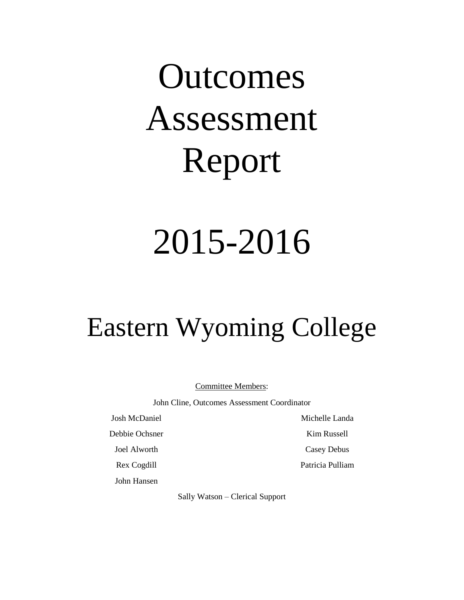# **Outcomes** Assessment Report

## 2015-2016

## Eastern Wyoming College

Committee Members:

John Cline, Outcomes Assessment Coordinator

Josh McDaniel

Debbie Ochsner

Joel Alworth

Rex Cogdill

John Hansen

Michelle Landa

Kim Russell

Casey Debus

Patricia Pulliam

Sally Watson – Clerical Support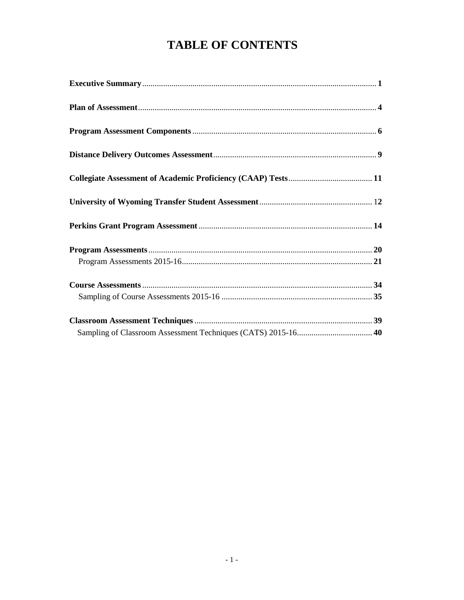## **TABLE OF CONTENTS**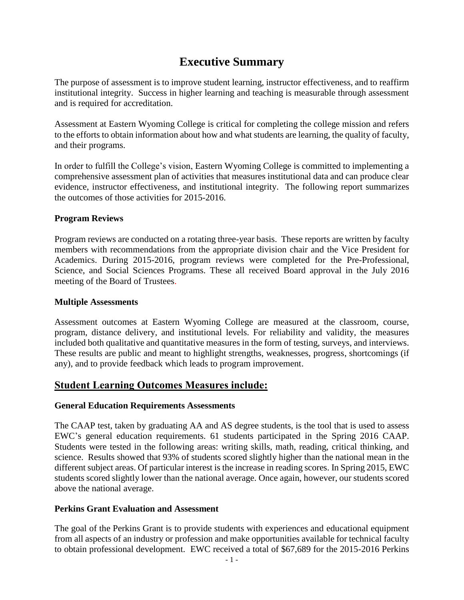## **Executive Summary**

The purpose of assessment is to improve student learning, instructor effectiveness, and to reaffirm institutional integrity. Success in higher learning and teaching is measurable through assessment and is required for accreditation.

Assessment at Eastern Wyoming College is critical for completing the college mission and refers to the efforts to obtain information about how and what students are learning, the quality of faculty, and their programs.

In order to fulfill the College's vision, Eastern Wyoming College is committed to implementing a comprehensive assessment plan of activities that measures institutional data and can produce clear evidence, instructor effectiveness, and institutional integrity. The following report summarizes the outcomes of those activities for 2015-2016.

#### **Program Reviews**

Program reviews are conducted on a rotating three-year basis. These reports are written by faculty members with recommendations from the appropriate division chair and the Vice President for Academics. During 2015-2016, program reviews were completed for the Pre-Professional, Science, and Social Sciences Programs. These all received Board approval in the July 2016 meeting of the Board of Trustees.

#### **Multiple Assessments**

Assessment outcomes at Eastern Wyoming College are measured at the classroom, course, program, distance delivery, and institutional levels. For reliability and validity, the measures included both qualitative and quantitative measures in the form of testing, surveys, and interviews. These results are public and meant to highlight strengths, weaknesses, progress, shortcomings (if any), and to provide feedback which leads to program improvement.

## **Student Learning Outcomes Measures include:**

#### **General Education Requirements Assessments**

The CAAP test, taken by graduating AA and AS degree students, is the tool that is used to assess EWC's general education requirements. 61 students participated in the Spring 2016 CAAP. Students were tested in the following areas: writing skills, math, reading, critical thinking, and science. Results showed that 93% of students scored slightly higher than the national mean in the different subject areas. Of particular interest is the increase in reading scores. In Spring 2015, EWC students scored slightly lower than the national average. Once again, however, our students scored above the national average.

#### **Perkins Grant Evaluation and Assessment**

The goal of the Perkins Grant is to provide students with experiences and educational equipment from all aspects of an industry or profession and make opportunities available for technical faculty to obtain professional development. EWC received a total of \$67,689 for the 2015-2016 Perkins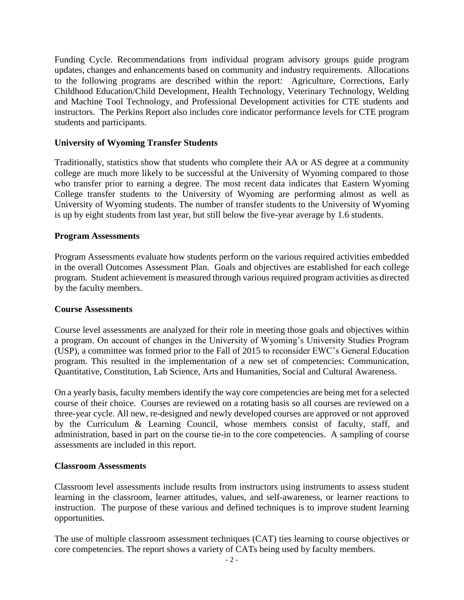Funding Cycle. Recommendations from individual program advisory groups guide program updates, changes and enhancements based on community and industry requirements. Allocations to the following programs are described within the report: Agriculture, Corrections, Early Childhood Education/Child Development, Health Technology, Veterinary Technology, Welding and Machine Tool Technology, and Professional Development activities for CTE students and instructors. The Perkins Report also includes core indicator performance levels for CTE program students and participants.

#### **University of Wyoming Transfer Students**

Traditionally, statistics show that students who complete their AA or AS degree at a community college are much more likely to be successful at the University of Wyoming compared to those who transfer prior to earning a degree. The most recent data indicates that Eastern Wyoming College transfer students to the University of Wyoming are performing almost as well as University of Wyoming students. The number of transfer students to the University of Wyoming is up by eight students from last year, but still below the five-year average by 1.6 students.

#### **Program Assessments**

Program Assessments evaluate how students perform on the various required activities embedded in the overall Outcomes Assessment Plan. Goals and objectives are established for each college program. Student achievement is measured through various required program activities as directed by the faculty members.

#### **Course Assessments**

Course level assessments are analyzed for their role in meeting those goals and objectives within a program. On account of changes in the University of Wyoming's University Studies Program (USP), a committee was formed prior to the Fall of 2015 to reconsider EWC's General Education program. This resulted in the implementation of a new set of competencies: Communication, Quantitative, Constitution, Lab Science, Arts and Humanities, Social and Cultural Awareness.

On a yearly basis, faculty members identify the way core competencies are being met for a selected course of their choice. Courses are reviewed on a rotating basis so all courses are reviewed on a three-year cycle. All new, re-designed and newly developed courses are approved or not approved by the Curriculum & Learning Council, whose members consist of faculty, staff, and administration, based in part on the course tie-in to the core competencies. A sampling of course assessments are included in this report.

#### **Classroom Assessments**

Classroom level assessments include results from instructors using instruments to assess student learning in the classroom, learner attitudes, values, and self-awareness, or learner reactions to instruction. The purpose of these various and defined techniques is to improve student learning opportunities.

The use of multiple classroom assessment techniques (CAT) ties learning to course objectives or core competencies. The report shows a variety of CATs being used by faculty members.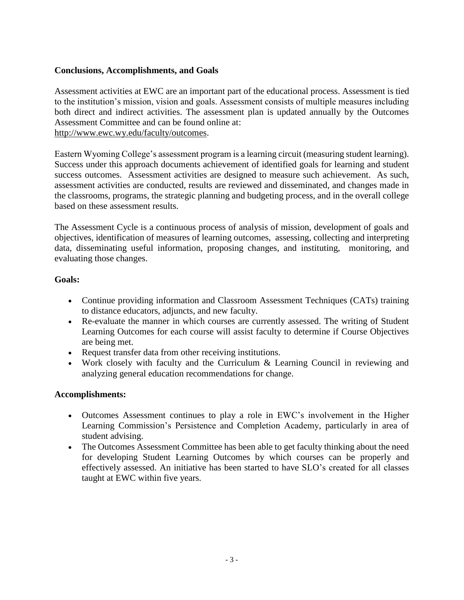#### **Conclusions, Accomplishments, and Goals**

Assessment activities at EWC are an important part of the educational process. Assessment is tied to the institution's mission, vision and goals. Assessment consists of multiple measures including both direct and indirect activities. The assessment plan is updated annually by the Outcomes Assessment Committee and can be found online at:

http://www.ewc.wy.edu/faculty/outcomes.

Eastern Wyoming College's assessment program is a learning circuit (measuring student learning). Success under this approach documents achievement of identified goals for learning and student success outcomes. Assessment activities are designed to measure such achievement. As such, assessment activities are conducted, results are reviewed and disseminated, and changes made in the classrooms, programs, the strategic planning and budgeting process, and in the overall college based on these assessment results.

The Assessment Cycle is a continuous process of analysis of mission, development of goals and objectives, identification of measures of learning outcomes, assessing, collecting and interpreting data, disseminating useful information, proposing changes, and instituting, monitoring, and evaluating those changes.

#### **Goals:**

- Continue providing information and Classroom Assessment Techniques (CATs) training to distance educators, adjuncts, and new faculty.
- Re-evaluate the manner in which courses are currently assessed. The writing of Student Learning Outcomes for each course will assist faculty to determine if Course Objectives are being met.
- Request transfer data from other receiving institutions.
- Work closely with faculty and the Curriculum & Learning Council in reviewing and analyzing general education recommendations for change.

#### **Accomplishments:**

- Outcomes Assessment continues to play a role in EWC's involvement in the Higher Learning Commission's Persistence and Completion Academy, particularly in area of student advising.
- The Outcomes Assessment Committee has been able to get faculty thinking about the need for developing Student Learning Outcomes by which courses can be properly and effectively assessed. An initiative has been started to have SLO's created for all classes taught at EWC within five years.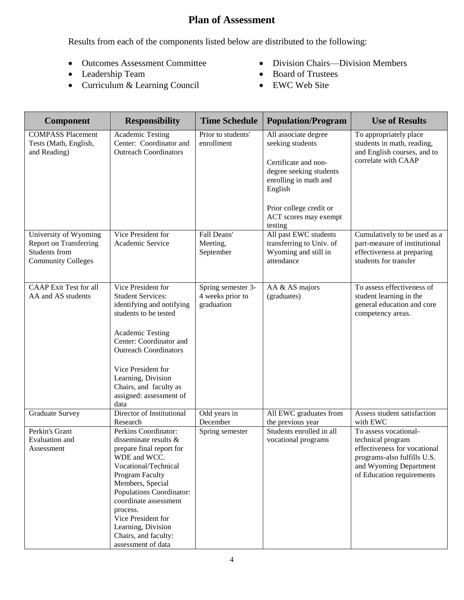## **Plan of Assessment**

Results from each of the components listed below are distributed to the following:

- Outcomes Assessment Committee
- Leadership Team
- Curriculum & Learning Council
- Division Chairs—Division Members
- Board of Trustees
- EWC Web Site

| <b>Component</b>                                                                                     | <b>Responsibility</b>                                                                                                                                                                                                                                                                                               | <b>Time Schedule</b>                                 | <b>Population/Program</b>                                                                                                                                                                      | <b>Use of Results</b>                                                                                                                                            |
|------------------------------------------------------------------------------------------------------|---------------------------------------------------------------------------------------------------------------------------------------------------------------------------------------------------------------------------------------------------------------------------------------------------------------------|------------------------------------------------------|------------------------------------------------------------------------------------------------------------------------------------------------------------------------------------------------|------------------------------------------------------------------------------------------------------------------------------------------------------------------|
| <b>COMPASS Placement</b><br>Tests (Math, English,<br>and Reading)                                    | Academic Testing<br>Center: Coordinator and<br><b>Outreach Coordinators</b>                                                                                                                                                                                                                                         | Prior to students'<br>enrollment                     | All associate degree<br>seeking students<br>Certificate and non-<br>degree seeking students<br>enrolling in math and<br>English<br>Prior college credit or<br>ACT scores may exempt<br>testing | To appropriately place<br>students in math, reading,<br>and English courses, and to<br>correlate with CAAP                                                       |
| University of Wyoming<br><b>Report on Transferring</b><br>Students from<br><b>Community Colleges</b> | Vice President for<br>Academic Service                                                                                                                                                                                                                                                                              | Fall Deans'<br>Meeting,<br>September                 | All past EWC students<br>transferring to Univ. of<br>Wyoming and still in<br>attendance                                                                                                        | Cumulatively to be used as a<br>part-measure of institutional<br>effectiveness at preparing<br>students for transfer                                             |
| <b>CAAP</b> Exit Test for all<br>AA and AS students                                                  | Vice President for<br><b>Student Services:</b><br>identifying and notifying<br>students to be tested<br><b>Academic Testing</b><br>Center: Coordinator and<br><b>Outreach Coordinators</b><br>Vice President for<br>Learning, Division<br>Chairs, and faculty as<br>assigned: assessment of<br>data                 | Spring semester 3-<br>4 weeks prior to<br>graduation | AA & AS majors<br>(graduates)                                                                                                                                                                  | To assess effectiveness of<br>student learning in the<br>general education and core<br>competency areas.                                                         |
| <b>Graduate Survey</b>                                                                               | Director of Institutional<br>Research                                                                                                                                                                                                                                                                               | Odd years in<br>December                             | All EWC graduates from<br>the previous year                                                                                                                                                    | Assess student satisfaction<br>with EWC                                                                                                                          |
| Perkin's Grant<br>Evaluation and<br>Assessment                                                       | Perkins Coordinator:<br>disseminate results &<br>prepare final report for<br>WDE and WCC.<br>Vocational/Technical<br>Program Faculty<br>Members, Special<br>Populations Coordinator:<br>coordinate assessment<br>process.<br>Vice President for<br>Learning, Division<br>Chairs, and faculty:<br>assessment of data | Spring semester                                      | Students enrolled in all<br>vocational programs                                                                                                                                                | To assess vocational-<br>technical program<br>effectiveness for vocational<br>programs-also fulfills U.S.<br>and Wyoming Department<br>of Education requirements |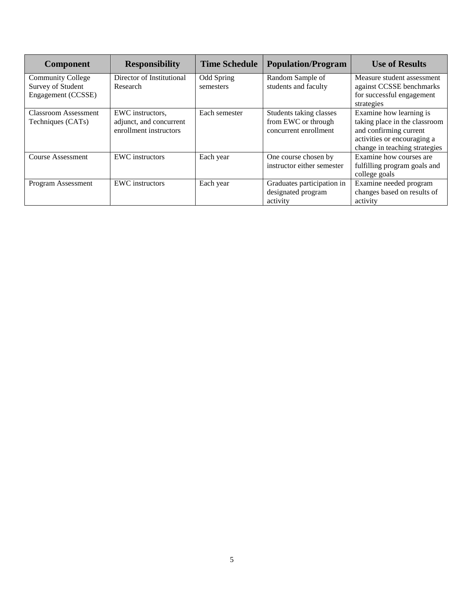| <b>Component</b>         | <b>Responsibility</b>     | <b>Time Schedule</b> | <b>Population/Program</b>  | <b>Use of Results</b>         |
|--------------------------|---------------------------|----------------------|----------------------------|-------------------------------|
| <b>Community College</b> | Director of Institutional | Odd Spring           | Random Sample of           | Measure student assessment    |
| Survey of Student        | Research                  | semesters            | students and faculty       | against CCSSE benchmarks      |
| Engagement (CCSSE)       |                           |                      |                            | for successful engagement     |
|                          |                           |                      |                            | strategies                    |
| Classroom Assessment     | EWC instructors,          | Each semester        | Students taking classes    | Examine how learning is       |
| Techniques (CATs)        | adjunct, and concurrent   |                      | from EWC or through        | taking place in the classroom |
|                          | enrollment instructors    |                      | concurrent enrollment      | and confirming current        |
|                          |                           |                      |                            | activities or encouraging a   |
|                          |                           |                      |                            | change in teaching strategies |
| <b>Course Assessment</b> | <b>EWC</b> instructors    | Each year            | One course chosen by       | Examine how courses are       |
|                          |                           |                      | instructor either semester | fulfilling program goals and  |
|                          |                           |                      |                            | college goals                 |
| Program Assessment       | <b>EWC</b> instructors    | Each year            | Graduates participation in | Examine needed program        |
|                          |                           |                      | designated program         | changes based on results of   |
|                          |                           |                      | activity                   | activity                      |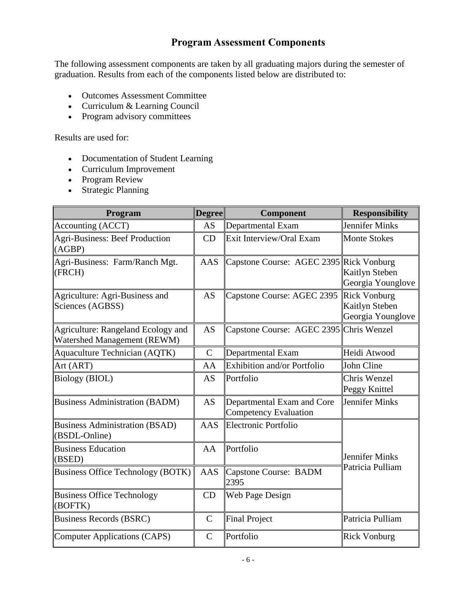## **Program Assessment Components**

The following assessment components are taken by all graduating majors during the semester of graduation. Results from each of the components listed below are distributed to:

- Outcomes Assessment Committee
- Curriculum & Learning Council
- Program advisory committees

Results are used for:

- Documentation of Student Learning
- Curriculum Improvement
- Program Review
- Strategic Planning

| Program                                                           | <b>Degree</b> | Component                                                  | <b>Responsibility</b>                                      |
|-------------------------------------------------------------------|---------------|------------------------------------------------------------|------------------------------------------------------------|
| Accounting (ACCT)                                                 | <b>AS</b>     | Departmental Exam                                          | <b>Jennifer Minks</b>                                      |
| <b>Agri-Business: Beef Production</b><br>(AGBP)                   | CD            | Exit Interview/Oral Exam                                   | Monte Stokes                                               |
| Agri-Business: Farm/Ranch Mgt.<br>(FRCH)                          | <b>AAS</b>    | Capstone Course: AGEC 2395 Rick Vonburg                    | Kaitlyn Steben<br>Georgia Younglove                        |
| Agriculture: Agri-Business and<br>Sciences (AGBSS)                | AS            | Capstone Course: AGEC 2395                                 | <b>Rick Vonburg</b><br>Kaitlyn Steben<br>Georgia Younglove |
| Agriculture: Rangeland Ecology and<br>Watershed Management (REWM) | <b>AS</b>     | Capstone Course: AGEC 2395 Chris Wenzel                    |                                                            |
| <b>Aquaculture Technician (AQTK)</b>                              | $\mathbf C$   | Departmental Exam                                          | Heidi Atwood                                               |
| Art (ART)                                                         | AA            | Exhibition and/or Portfolio                                | John Cline                                                 |
| <b>Biology (BIOL)</b>                                             | <b>AS</b>     | Portfolio                                                  | Chris Wenzel<br>Peggy Knittel                              |
| <b>Business Administration (BADM)</b>                             | AS            | Departmental Exam and Core<br><b>Competency Evaluation</b> | Jennifer Minks                                             |
| <b>Business Administration (BSAD)</b><br>(BSDL-Online)            | AAS           | <b>Electronic Portfolio</b>                                |                                                            |
| <b>Business Education</b><br>(BSED)                               | AA            | Portfolio                                                  | Jennifer Minks                                             |
| <b>Business Office Technology (BOTK)</b>                          | AAS           | Capstone Course: BADM<br>2395                              | Patricia Pulliam                                           |
| <b>Business Office Technology</b><br>(BOFTK)                      | CD            | Web Page Design                                            |                                                            |
| <b>Business Records (BSRC)</b>                                    | $\mathbf C$   | <b>Final Project</b>                                       | Patricia Pulliam                                           |
| Computer Applications (CAPS)                                      | $\mathcal{C}$ | Portfolio                                                  | Rick Vonburg                                               |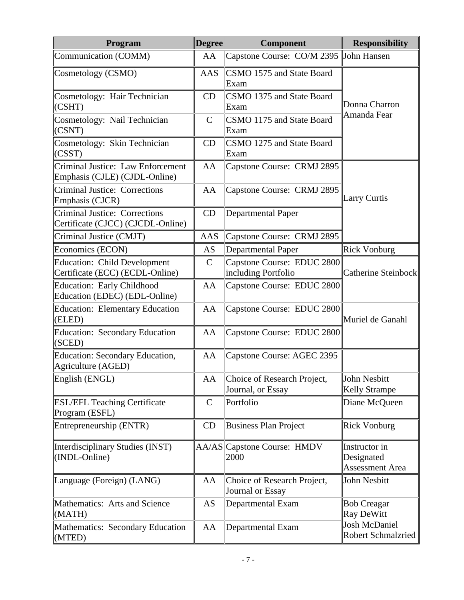| Program                                                                   | <b>Degree</b> | <b>Component</b>                                  | <b>Responsibility</b>                                 |
|---------------------------------------------------------------------------|---------------|---------------------------------------------------|-------------------------------------------------------|
| Communication (COMM)                                                      | AA            | Capstone Course: CO/M 2395 John Hansen            |                                                       |
| Cosmetology (CSMO)                                                        | <b>AAS</b>    | CSMO 1575 and State Board<br>Exam                 |                                                       |
| Cosmetology: Hair Technician<br>(CSHT)                                    | CD            | CSMO 1375 and State Board<br>Exam                 | Donna Charron<br>Amanda Fear                          |
| Cosmetology: Nail Technician<br>$ $ (CSNT)                                | $\mathsf{C}$  | CSMO 1175 and State Board<br>Exam                 |                                                       |
| Cosmetology: Skin Technician<br>(CSST)                                    | CD            | CSMO 1275 and State Board<br>Exam                 |                                                       |
| Criminal Justice: Law Enforcement<br>Emphasis (CJLE) (CJDL-Online)        | AA            | Capstone Course: CRMJ 2895                        |                                                       |
| <b>Criminal Justice: Corrections</b><br>Emphasis (CJCR)                   | AA            | Capstone Course: CRMJ 2895                        | Larry Curtis                                          |
| <b>Criminal Justice: Corrections</b><br>Certificate (CJCC) (CJCDL-Online) | CD            | Departmental Paper                                |                                                       |
| Criminal Justice (CMJT)                                                   | <b>AAS</b>    | Capstone Course: CRMJ 2895                        |                                                       |
| Economics (ECON)                                                          | <b>AS</b>     | <b>Departmental Paper</b>                         | <b>Rick Vonburg</b>                                   |
| <b>Education: Child Development</b><br>Certificate (ECC) (ECDL-Online)    | $\mathcal{C}$ | Capstone Course: EDUC 2800<br>including Portfolio | Catherine Steinbock                                   |
| <b>Education: Early Childhood</b><br>Education (EDEC) (EDL-Online)        | AA            | Capstone Course: EDUC 2800                        |                                                       |
| <b>Education: Elementary Education</b><br>(ELED)                          | AA            | Capstone Course: EDUC 2800                        | Muriel de Ganahl                                      |
| <b>Education: Secondary Education</b><br>(SCED)                           | AA            | Capstone Course: EDUC 2800                        |                                                       |
| <b>Education: Secondary Education,</b><br>Agriculture (AGED)              | AA            | Capstone Course: AGEC 2395                        |                                                       |
| English (ENGL)                                                            | AA            | Choice of Research Project,<br>Journal, or Essay  | John Nesbitt<br><b>Kelly Strampe</b>                  |
| <b>ESL/EFL Teaching Certificate</b><br>Program (ESFL)                     | $\mathbf C$   | Portfolio                                         | Diane McQueen                                         |
| Entrepreneurship (ENTR)                                                   | CD            | <b>Business Plan Project</b>                      | <b>Rick Vonburg</b>                                   |
| Interdisciplinary Studies (INST)<br>(INDL-Online)                         |               | AA/AS Capstone Course: HMDV<br>2000               | Instructor in<br>Designated<br><b>Assessment Area</b> |
| Language (Foreign) (LANG)                                                 | AA            | Choice of Research Project,<br>Journal or Essay   | John Nesbitt                                          |
| Mathematics: Arts and Science<br>(MATH)                                   | AS            | Departmental Exam                                 | Bob Creagar<br>Ray DeWitt                             |
| Mathematics: Secondary Education<br>(MTED)                                | AA            | Departmental Exam                                 | Josh McDaniel<br>Robert Schmalzried                   |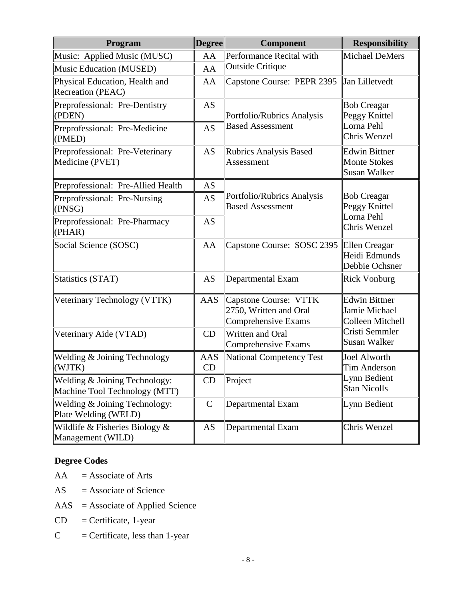| Program                                                        | <b>Degree</b>    | <b>Component</b>                                                              | <b>Responsibility</b>                                             |  |
|----------------------------------------------------------------|------------------|-------------------------------------------------------------------------------|-------------------------------------------------------------------|--|
| Music: Applied Music (MUSC)                                    | AA               | Performance Recital with                                                      | Michael DeMers                                                    |  |
| <b>Music Education (MUSED)</b>                                 | AA               | <b>Outside Critique</b>                                                       |                                                                   |  |
| Physical Education, Health and<br>Recreation (PEAC)            | AA               | Capstone Course: PEPR 2395                                                    | Jan Lilletvedt                                                    |  |
| Preprofessional: Pre-Dentistry<br>(PDEN)                       | AS               | Portfolio/Rubrics Analysis                                                    | <b>Bob Creagar</b><br>Peggy Knittel                               |  |
| Preprofessional: Pre-Medicine<br>(PMED)                        | <b>AS</b>        | <b>Based Assessment</b>                                                       | Lorna Pehl<br>Chris Wenzel                                        |  |
| Preprofessional: Pre-Veterinary<br>Medicine (PVET)             | AS               | <b>Rubrics Analysis Based</b><br>Assessment                                   | <b>Edwin Bittner</b><br><b>Monte Stokes</b><br>Susan Walker       |  |
| Preprofessional: Pre-Allied Health                             | AS               |                                                                               |                                                                   |  |
| Preprofessional: Pre-Nursing<br>(PNSG)                         | <b>AS</b>        | Portfolio/Rubrics Analysis<br><b>Based Assessment</b>                         | <b>Bob Creagar</b><br>Peggy Knittel<br>Lorna Pehl<br>Chris Wenzel |  |
| Preprofessional: Pre-Pharmacy<br>(PHAR)                        | <b>AS</b>        |                                                                               |                                                                   |  |
| Social Science (SOSC)                                          | AA               | Capstone Course: SOSC 2395 Ellen Creagar                                      | Heidi Edmunds<br>Debbie Ochsner                                   |  |
| Statistics (STAT)                                              | <b>AS</b>        | Departmental Exam                                                             | <b>Rick Vonburg</b>                                               |  |
| Veterinary Technology (VTTK)                                   | AAS              | <b>Capstone Course: VTTK</b><br>2750, Written and Oral<br>Comprehensive Exams | <b>Edwin Bittner</b><br>Jamie Michael<br>Colleen Mitchell         |  |
| Veterinary Aide (VTAD)                                         | CD               | Written and Oral<br>Comprehensive Exams                                       | Cristi Semmler<br>Susan Walker                                    |  |
| Welding & Joining Technology<br>(WJTK)                         | <b>AAS</b><br>CD | National Competency Test                                                      | Joel Alworth<br>Tim Anderson                                      |  |
| Welding & Joining Technology:<br>Machine Tool Technology (MTT) | CD               | Project                                                                       | Lynn Bedient<br>Stan Nicolls                                      |  |
| Welding & Joining Technology:<br>Plate Welding (WELD)          | $\mathsf{C}$     | Departmental Exam                                                             | Lynn Bedient                                                      |  |
| Wildlife & Fisheries Biology $\&$<br>Management (WILD)         | AS               | Departmental Exam                                                             | Chris Wenzel                                                      |  |

## **Degree Codes**

- $AA =$  Associate of Arts
- $AS =$  Associate of Science
- AAS = Associate of Applied Science
- $CD =$  Certificate, 1-year
- $C =$  Certificate, less than 1-year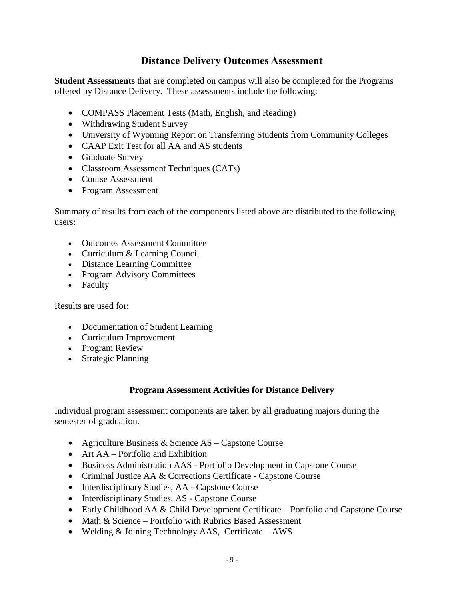## **Distance Delivery Outcomes Assessment**

**Student Assessments** that are completed on campus will also be completed for the Programs offered by Distance Delivery. These assessments include the following:

- COMPASS Placement Tests (Math, English, and Reading)
- Withdrawing Student Survey
- University of Wyoming Report on Transferring Students from Community Colleges
- CAAP Exit Test for all AA and AS students
- Graduate Survey
- Classroom Assessment Techniques (CATs)
- Course Assessment
- Program Assessment

Summary of results from each of the components listed above are distributed to the following users:

- Outcomes Assessment Committee
- Curriculum & Learning Council
- Distance Learning Committee
- Program Advisory Committees
- Faculty

Results are used for:

- Documentation of Student Learning
- Curriculum Improvement
- Program Review
- Strategic Planning

#### **Program Assessment Activities for Distance Delivery**

Individual program assessment components are taken by all graduating majors during the semester of graduation.

- Agriculture Business & Science AS Capstone Course
- Art AA Portfolio and Exhibition
- Business Administration AAS Portfolio Development in Capstone Course
- Criminal Justice AA & Corrections Certificate Capstone Course
- Interdisciplinary Studies, AA Capstone Course
- Interdisciplinary Studies, AS Capstone Course
- Early Childhood AA & Child Development Certificate Portfolio and Capstone Course
- Math & Science Portfolio with Rubrics Based Assessment
- Welding & Joining Technology AAS, Certificate AWS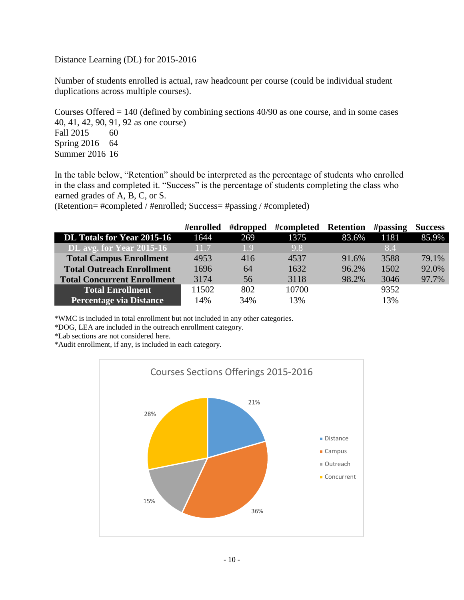Distance Learning (DL) for 2015-2016

Number of students enrolled is actual, raw headcount per course (could be individual student duplications across multiple courses).

Courses Offered  $= 140$  (defined by combining sections  $40/90$  as one course, and in some cases 40, 41, 42, 90, 91, 92 as one course) Fall 2015 60

Spring 2016 64 Summer 2016 16

In the table below, "Retention" should be interpreted as the percentage of students who enrolled in the class and completed it. "Success" is the percentage of students completing the class who earned grades of A, B, C, or S.

(Retention= #completed / #enrolled; Success= #passing / #completed)

|                                    | #enrolled | #dropped | #completed Retention |       | $\#$ passing | <b>Success</b> |
|------------------------------------|-----------|----------|----------------------|-------|--------------|----------------|
| DL Totals for Year 2015-16         | 1644      | 269      | 1375                 | 83.6% | 1181         | 85.9%          |
| DL avg. for Year 2015-16           | 11.7      | 19       | 9.8                  |       | 8.4          |                |
| <b>Total Campus Enrollment</b>     | 4953      | 416      | 4537                 | 91.6% | 3588         | 79.1%          |
| <b>Total Outreach Enrollment</b>   | 1696      | 64       | 1632                 | 96.2% | 1502         | 92.0%          |
| <b>Total Concurrent Enrollment</b> | 3174      | 56       | 3118                 | 98.2% | 3046         | 97.7%          |
| <b>Total Enrollment</b>            | 11502     | 802      | 10700                |       | 9352         |                |
| <b>Percentage via Distance</b>     | 14%       | 34%      | 13%                  |       | 13%          |                |

\*WMC is included in total enrollment but not included in any other categories.

\*DOG, LEA are included in the outreach enrollment category.

\*Lab sections are not considered here.

\*Audit enrollment, if any, is included in each category.

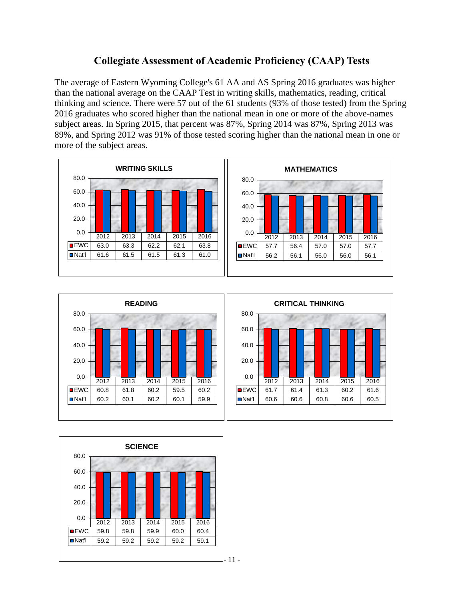## **Collegiate Assessment of Academic Proficiency (CAAP) Tests**

The average of Eastern Wyoming College's 61 AA and AS Spring 2016 graduates was higher than the national average on the CAAP Test in writing skills, mathematics, reading, critical thinking and science. There were 57 out of the 61 students (93% of those tested) from the Spring 2016 graduates who scored higher than the national mean in one or more of the above-names subject areas. In Spring 2015, that percent was 87%, Spring 2014 was 87%, Spring 2013 was 89%, and Spring 2012 was 91% of those tested scoring higher than the national mean in one or more of the subject areas.





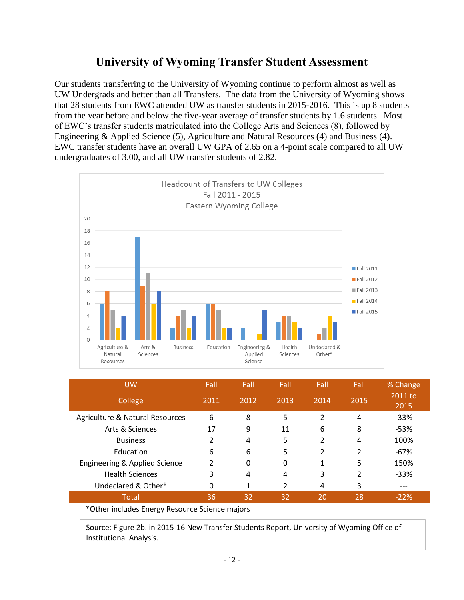## **University of Wyoming Transfer Student Assessment**

Our students transferring to the University of Wyoming continue to perform almost as well as UW Undergrads and better than all Transfers. The data from the University of Wyoming shows that 28 students from EWC attended UW as transfer students in 2015-2016. This is up 8 students from the year before and below the five-year average of transfer students by 1.6 students. Most of EWC's transfer students matriculated into the College Arts and Sciences (8), followed by Engineering & Applied Science (5), Agriculture and Natural Resources (4) and Business (4). EWC transfer students have an overall UW GPA of 2.65 on a 4-point scale compared to all UW undergraduates of 3.00, and all UW transfer students of 2.82.



| <b>UW</b><br>College            | Fall<br>2011 | Fall<br>2012 | Fall<br>2013 | Fall<br>2014   | Fall<br>2015 | % Change<br>2011 to<br>2015 |
|---------------------------------|--------------|--------------|--------------|----------------|--------------|-----------------------------|
| Agriculture & Natural Resources | 6            | 8            | 5            | $\overline{2}$ | 4            | $-33%$                      |
| Arts & Sciences                 | 17           | 9            | 11           | 6              | 8            | $-53%$                      |
| <b>Business</b>                 | ำ            | 4            | 5            | $\overline{2}$ | 4            | 100%                        |
| Education                       | 6            | 6            | 5            | 2              |              | $-67%$                      |
| Engineering & Applied Science   | 2            | $\mathbf{0}$ | $\mathbf{0}$ | 1              | 5            | 150%                        |
| <b>Health Sciences</b>          | 3            | 4            | 4            | 3              | າ            | $-33%$                      |
| Undeclared & Other*             | 0            | 1            | 2            | 4              | 3            | ---                         |
| <b>Total</b>                    | 36           | 32           | 32           | 20             | 28           | $-22%$                      |

\*Other includes Energy Resource Science majors

Source: Figure 2b. in 2015-16 New Transfer Students Report, University of Wyoming Office of Institutional Analysis.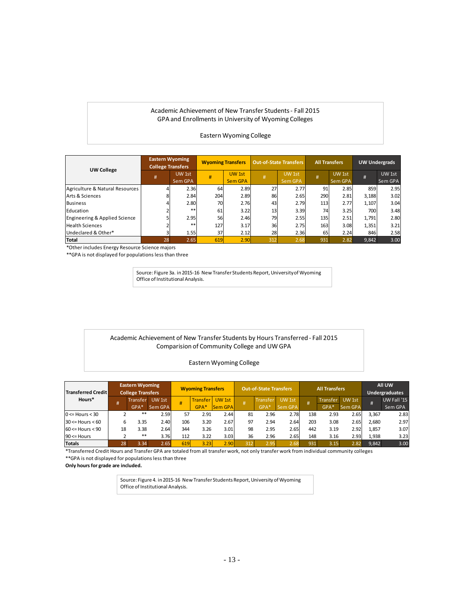#### Academic Achievement of New Transfer Students- Fall 2015 GPA and Enrollments in University of Wyoming Colleges

#### Eastern Wyoming College

| <b>UW College</b>                                      | <b>Eastern Wyoming</b><br><b>College Transfers</b> |         | <b>Wyoming Transfers</b> |                | <b>Out-of-State Transfers</b> |                | <b>All Transfers</b> |         | <b>UW Undergrads</b> |         |
|--------------------------------------------------------|----------------------------------------------------|---------|--------------------------|----------------|-------------------------------|----------------|----------------------|---------|----------------------|---------|
|                                                        | #                                                  | UW 1st  | #                        | UW 1st         |                               | UW 1st         | #                    | UW 1st  | #                    | UW 1st  |
|                                                        |                                                    | Sem GPA |                          | <b>Sem GPA</b> |                               | <b>Sem GPA</b> |                      | Sem GPA |                      | Sem GPA |
| Agriculture & Natural Resources                        |                                                    | 2.36    | 64                       | 2.89           | 27                            | 2.77           | 91                   | 2.85    | 859                  | 2.95    |
| Arts & Sciences                                        |                                                    | 2.84    | 204                      | 2.89           | 86                            | 2.65           | 290                  | 2.81    | 3,188                | 3.02    |
| <b>Business</b>                                        |                                                    | 2.80    | 70                       | 2.76           | 43                            | 2.79           | 113                  | 2.77    | 1,107                | 3.04    |
| Education                                              |                                                    | **      | 61                       | 3.22           | 13                            | 3.39           | 74                   | 3.25    | 700                  | 3.48    |
| Engineering & Applied Science                          |                                                    | 2.95    | 56                       | 2.46           | 79                            | 2.55           | 135                  | 2.51    | 1,791                | 2.80    |
| <b>Health Sciences</b>                                 |                                                    | $**$    | 127                      | 3.17           | 36                            | 2.75           | 163                  | 3.08    | 1,351                | 3.21    |
| Undeclared & Other*                                    |                                                    | 1.55    | 37                       | 2.12           | 28                            | 2.36           | 65                   | 2.24    | 846                  | 2.58    |
| <b>Total</b>                                           | 28                                                 | 2.65    | 619                      | 2.90           | 312                           | 2.68           | 931                  | 2.82    | 9,842                | 3.00    |
| *Other includes Energy Resource Science majors         |                                                    |         |                          |                |                               |                |                      |         |                      |         |
| **GPA is not displayed for populations less than three |                                                    |         |                          |                |                               |                |                      |         |                      |         |

Source: Figure 3a. in 2015-16 New Transfer Students Report, University of Wyoming Office of Institutional Analysis.

#### Academic Achievement of New Transfer Students by Hours Transferred - Fall 2015 Comparision of Community College and UW GPA

#### Eastern Wyoming College

| <b>Transferred Credit</b>                                                                                                                |    | <b>Eastern Wyoming</b><br><b>College Transfers</b> |         |     | <b>Wyoming Transfers</b> |                |     | <b>Out-of-State Transfers</b> |         |     | <b>All Transfers</b> |         |       | All UW<br><b>Undergraduates</b> |  |
|------------------------------------------------------------------------------------------------------------------------------------------|----|----------------------------------------------------|---------|-----|--------------------------|----------------|-----|-------------------------------|---------|-----|----------------------|---------|-------|---------------------------------|--|
| Hours*                                                                                                                                   | #  | <b>Transfer</b>                                    | UW 1st  | #   | Transfer                 | UW 1st         |     | Transfer                      | UW 1st  | #   | Transfer             | UW 1st  | #     | UW Fall '15                     |  |
|                                                                                                                                          |    | GPA*                                               | Sem GPA |     | $GPA*$                   | <b>Sem GPA</b> |     | GPA*                          | Sem GPA |     | GPA*                 | Sem GPA |       | Sem GPA                         |  |
| $0 \leq$ Hours $<$ 30                                                                                                                    |    | $* *$                                              | 2.59    | 57  | 2.91                     | 2.44           | 81  | 2.96                          | 2.78    | 138 | 2.93                 | 2.65    | 3,367 | 2.83                            |  |
| $30 \leq$ Hours $\leq 60$                                                                                                                | 6  | 3.35                                               | 2.40    | 106 | 3.20                     | 2.67           | 97  | 2.94                          | 2.64    | 203 | 3.08                 | 2.65    | 2,680 | 2.97                            |  |
| $60 \leq$ Hours $\leq 90$                                                                                                                | 18 | 3.38                                               | 2.64    | 344 | 3.26                     | 3.01           | 98  | 2.95                          | 2.65    | 442 | 3.19                 | 2.92    | 1,857 | 3.07                            |  |
| $90 \leq$ Hours                                                                                                                          |    | $***$                                              | 3.76    | 112 | 3.22                     | 3.03           | 36  | 2.96                          | 2.65    | 148 | 3.16                 | 2.93    | 1,938 | 3.23                            |  |
| <b>Totals</b>                                                                                                                            | 28 | 3.34                                               | 2.65    | 619 | 3.23                     | 2.90           | 312 | 2.95                          | 2.68    | 931 | 3.15                 | 2.82    | 9,842 | 3.00                            |  |
| *Transferred Credit Hours and Transfer GPA are totaled from all transfer work, not only transfer work from individual community colleges |    |                                                    |         |     |                          |                |     |                               |         |     |                      |         |       |                                 |  |
| **GPA is not displayed for populations less than three                                                                                   |    |                                                    |         |     |                          |                |     |                               |         |     |                      |         |       |                                 |  |
| Only hours for grade are included.                                                                                                       |    |                                                    |         |     |                          |                |     |                               |         |     |                      |         |       |                                 |  |

Source: Figure 4. in 2015-16 New Transfer Students Report, University of Wyoming Office of Institutional Analysis.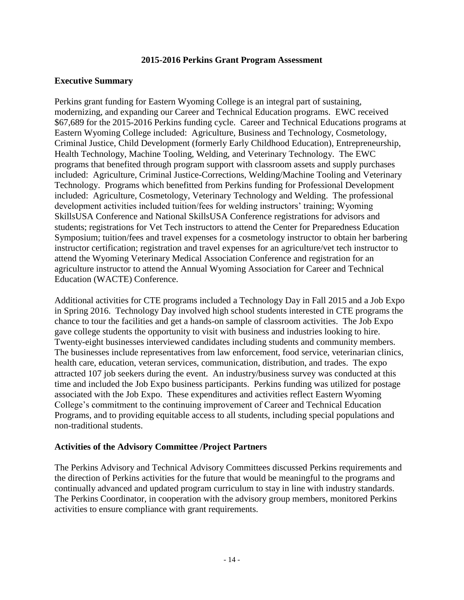#### **2015-2016 Perkins Grant Program Assessment**

#### **Executive Summary**

Perkins grant funding for Eastern Wyoming College is an integral part of sustaining, modernizing, and expanding our Career and Technical Education programs. EWC received \$67,689 for the 2015-2016 Perkins funding cycle. Career and Technical Educations programs at Eastern Wyoming College included: Agriculture, Business and Technology, Cosmetology, Criminal Justice, Child Development (formerly Early Childhood Education), Entrepreneurship, Health Technology, Machine Tooling, Welding, and Veterinary Technology. The EWC programs that benefited through program support with classroom assets and supply purchases included: Agriculture, Criminal Justice-Corrections, Welding/Machine Tooling and Veterinary Technology. Programs which benefitted from Perkins funding for Professional Development included: Agriculture, Cosmetology, Veterinary Technology and Welding. The professional development activities included tuition/fees for welding instructors' training; Wyoming SkillsUSA Conference and National SkillsUSA Conference registrations for advisors and students; registrations for Vet Tech instructors to attend the Center for Preparedness Education Symposium; tuition/fees and travel expenses for a cosmetology instructor to obtain her barbering instructor certification; registration and travel expenses for an agriculture/vet tech instructor to attend the Wyoming Veterinary Medical Association Conference and registration for an agriculture instructor to attend the Annual Wyoming Association for Career and Technical Education (WACTE) Conference.

Additional activities for CTE programs included a Technology Day in Fall 2015 and a Job Expo in Spring 2016. Technology Day involved high school students interested in CTE programs the chance to tour the facilities and get a hands-on sample of classroom activities. The Job Expo gave college students the opportunity to visit with business and industries looking to hire. Twenty-eight businesses interviewed candidates including students and community members. The businesses include representatives from law enforcement, food service, veterinarian clinics, health care, education, veteran services, communication, distribution, and trades. The expo attracted 107 job seekers during the event. An industry/business survey was conducted at this time and included the Job Expo business participants. Perkins funding was utilized for postage associated with the Job Expo. These expenditures and activities reflect Eastern Wyoming College's commitment to the continuing improvement of Career and Technical Education Programs, and to providing equitable access to all students, including special populations and non-traditional students.

#### **Activities of the Advisory Committee /Project Partners**

The Perkins Advisory and Technical Advisory Committees discussed Perkins requirements and the direction of Perkins activities for the future that would be meaningful to the programs and continually advanced and updated program curriculum to stay in line with industry standards. The Perkins Coordinator, in cooperation with the advisory group members, monitored Perkins activities to ensure compliance with grant requirements.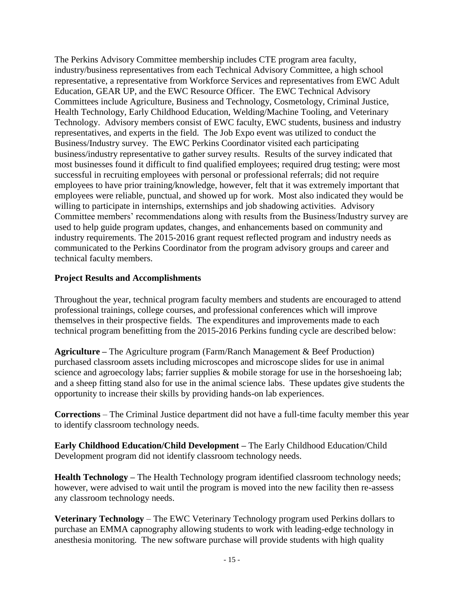The Perkins Advisory Committee membership includes CTE program area faculty, industry/business representatives from each Technical Advisory Committee, a high school representative, a representative from Workforce Services and representatives from EWC Adult Education, GEAR UP, and the EWC Resource Officer. The EWC Technical Advisory Committees include Agriculture, Business and Technology, Cosmetology, Criminal Justice, Health Technology, Early Childhood Education, Welding/Machine Tooling, and Veterinary Technology. Advisory members consist of EWC faculty, EWC students, business and industry representatives, and experts in the field. The Job Expo event was utilized to conduct the Business/Industry survey. The EWC Perkins Coordinator visited each participating business/industry representative to gather survey results. Results of the survey indicated that most businesses found it difficult to find qualified employees; required drug testing; were most successful in recruiting employees with personal or professional referrals; did not require employees to have prior training/knowledge, however, felt that it was extremely important that employees were reliable, punctual, and showed up for work. Most also indicated they would be willing to participate in internships, externships and job shadowing activities. Advisory Committee members' recommendations along with results from the Business/Industry survey are used to help guide program updates, changes, and enhancements based on community and industry requirements. The 2015-2016 grant request reflected program and industry needs as communicated to the Perkins Coordinator from the program advisory groups and career and technical faculty members.

#### **Project Results and Accomplishments**

Throughout the year, technical program faculty members and students are encouraged to attend professional trainings, college courses, and professional conferences which will improve themselves in their prospective fields. The expenditures and improvements made to each technical program benefitting from the 2015-2016 Perkins funding cycle are described below:

**Agriculture –** The Agriculture program (Farm/Ranch Management & Beef Production) purchased classroom assets including microscopes and microscope slides for use in animal science and agroecology labs; farrier supplies & mobile storage for use in the horseshoeing lab; and a sheep fitting stand also for use in the animal science labs. These updates give students the opportunity to increase their skills by providing hands-on lab experiences.

**Corrections** – The Criminal Justice department did not have a full-time faculty member this year to identify classroom technology needs.

**Early Childhood Education/Child Development –** The Early Childhood Education/Child Development program did not identify classroom technology needs.

**Health Technology –** The Health Technology program identified classroom technology needs; however, were advised to wait until the program is moved into the new facility then re-assess any classroom technology needs.

**Veterinary Technology** – The EWC Veterinary Technology program used Perkins dollars to purchase an EMMA capnography allowing students to work with leading-edge technology in anesthesia monitoring. The new software purchase will provide students with high quality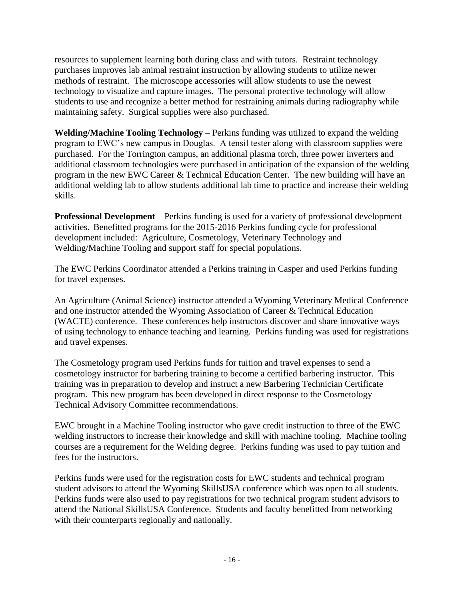resources to supplement learning both during class and with tutors. Restraint technology purchases improves lab animal restraint instruction by allowing students to utilize newer methods of restraint. The microscope accessories will allow students to use the newest technology to visualize and capture images. The personal protective technology will allow students to use and recognize a better method for restraining animals during radiography while maintaining safety. Surgical supplies were also purchased.

**Welding/Machine Tooling Technology** – Perkins funding was utilized to expand the welding program to EWC's new campus in Douglas. A tensil tester along with classroom supplies were purchased. For the Torrington campus, an additional plasma torch, three power inverters and additional classroom technologies were purchased in anticipation of the expansion of the welding program in the new EWC Career & Technical Education Center. The new building will have an additional welding lab to allow students additional lab time to practice and increase their welding skills.

**Professional Development** – Perkins funding is used for a variety of professional development activities. Benefitted programs for the 2015-2016 Perkins funding cycle for professional development included: Agriculture, Cosmetology, Veterinary Technology and Welding/Machine Tooling and support staff for special populations.

The EWC Perkins Coordinator attended a Perkins training in Casper and used Perkins funding for travel expenses.

An Agriculture (Animal Science) instructor attended a Wyoming Veterinary Medical Conference and one instructor attended the Wyoming Association of Career & Technical Education (WACTE) conference. These conferences help instructors discover and share innovative ways of using technology to enhance teaching and learning. Perkins funding was used for registrations and travel expenses.

The Cosmetology program used Perkins funds for tuition and travel expenses to send a cosmetology instructor for barbering training to become a certified barbering instructor. This training was in preparation to develop and instruct a new Barbering Technician Certificate program. This new program has been developed in direct response to the Cosmetology Technical Advisory Committee recommendations.

EWC brought in a Machine Tooling instructor who gave credit instruction to three of the EWC welding instructors to increase their knowledge and skill with machine tooling. Machine tooling courses are a requirement for the Welding degree. Perkins funding was used to pay tuition and fees for the instructors.

Perkins funds were used for the registration costs for EWC students and technical program student advisors to attend the Wyoming SkillsUSA conference which was open to all students. Perkins funds were also used to pay registrations for two technical program student advisors to attend the National SkillsUSA Conference. Students and faculty benefitted from networking with their counterparts regionally and nationally.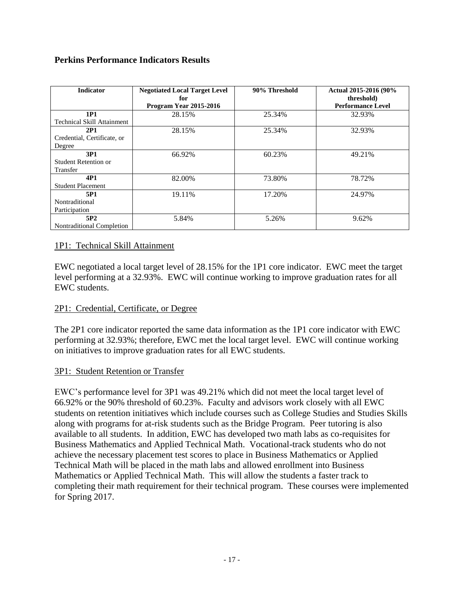#### **Perkins Performance Indicators Results**

| <b>Indicator</b>                  | <b>Negotiated Local Target Level</b><br>for | 90% Threshold | Actual 2015-2016 (90%<br>threshold) |
|-----------------------------------|---------------------------------------------|---------------|-------------------------------------|
|                                   | Program Year 2015-2016                      |               | <b>Performance Level</b>            |
| <b>1P1</b>                        | 28.15%                                      | 25.34%        | 32.93%                              |
| <b>Technical Skill Attainment</b> |                                             |               |                                     |
| 2P1                               | 28.15%                                      | 25.34%        | 32.93%                              |
| Credential, Certificate, or       |                                             |               |                                     |
| Degree                            |                                             |               |                                     |
| 3P1                               | 66.92%                                      | 60.23%        | 49.21%                              |
| Student Retention or              |                                             |               |                                     |
| Transfer                          |                                             |               |                                     |
| 4P1                               | 82.00%                                      | 73.80%        | 78.72%                              |
| <b>Student Placement</b>          |                                             |               |                                     |
| 5P1                               | 19.11%                                      | 17.20%        | 24.97%                              |
| Nontraditional                    |                                             |               |                                     |
| Participation                     |                                             |               |                                     |
| 5P <sub>2</sub>                   | 5.84%                                       | 5.26%         | 9.62%                               |
| Nontraditional Completion         |                                             |               |                                     |

#### 1P1: Technical Skill Attainment

EWC negotiated a local target level of 28.15% for the 1P1 core indicator. EWC meet the target level performing at a 32.93%. EWC will continue working to improve graduation rates for all EWC students.

#### 2P1: Credential, Certificate, or Degree

The 2P1 core indicator reported the same data information as the 1P1 core indicator with EWC performing at 32.93%; therefore, EWC met the local target level. EWC will continue working on initiatives to improve graduation rates for all EWC students.

#### 3P1: Student Retention or Transfer

EWC's performance level for 3P1 was 49.21% which did not meet the local target level of 66.92% or the 90% threshold of 60.23%. Faculty and advisors work closely with all EWC students on retention initiatives which include courses such as College Studies and Studies Skills along with programs for at-risk students such as the Bridge Program. Peer tutoring is also available to all students. In addition, EWC has developed two math labs as co-requisites for Business Mathematics and Applied Technical Math. Vocational-track students who do not achieve the necessary placement test scores to place in Business Mathematics or Applied Technical Math will be placed in the math labs and allowed enrollment into Business Mathematics or Applied Technical Math. This will allow the students a faster track to completing their math requirement for their technical program. These courses were implemented for Spring 2017.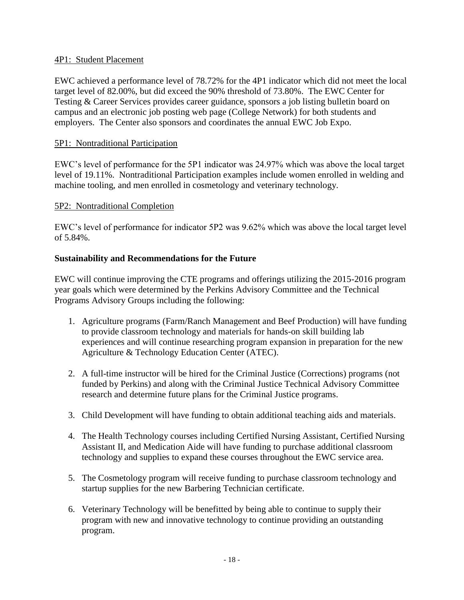#### 4P1: Student Placement

EWC achieved a performance level of 78.72% for the 4P1 indicator which did not meet the local target level of 82.00%, but did exceed the 90% threshold of 73.80%. The EWC Center for Testing & Career Services provides career guidance, sponsors a job listing bulletin board on campus and an electronic job posting web page (College Network) for both students and employers. The Center also sponsors and coordinates the annual EWC Job Expo.

#### 5P1: Nontraditional Participation

EWC's level of performance for the 5P1 indicator was 24.97% which was above the local target level of 19.11%. Nontraditional Participation examples include women enrolled in welding and machine tooling, and men enrolled in cosmetology and veterinary technology.

#### 5P2: Nontraditional Completion

EWC's level of performance for indicator 5P2 was 9.62% which was above the local target level of 5.84%.

#### **Sustainability and Recommendations for the Future**

EWC will continue improving the CTE programs and offerings utilizing the 2015-2016 program year goals which were determined by the Perkins Advisory Committee and the Technical Programs Advisory Groups including the following:

- 1. Agriculture programs (Farm/Ranch Management and Beef Production) will have funding to provide classroom technology and materials for hands-on skill building lab experiences and will continue researching program expansion in preparation for the new Agriculture & Technology Education Center (ATEC).
- 2. A full-time instructor will be hired for the Criminal Justice (Corrections) programs (not funded by Perkins) and along with the Criminal Justice Technical Advisory Committee research and determine future plans for the Criminal Justice programs.
- 3. Child Development will have funding to obtain additional teaching aids and materials.
- 4. The Health Technology courses including Certified Nursing Assistant, Certified Nursing Assistant II, and Medication Aide will have funding to purchase additional classroom technology and supplies to expand these courses throughout the EWC service area.
- 5. The Cosmetology program will receive funding to purchase classroom technology and startup supplies for the new Barbering Technician certificate.
- 6. Veterinary Technology will be benefitted by being able to continue to supply their program with new and innovative technology to continue providing an outstanding program.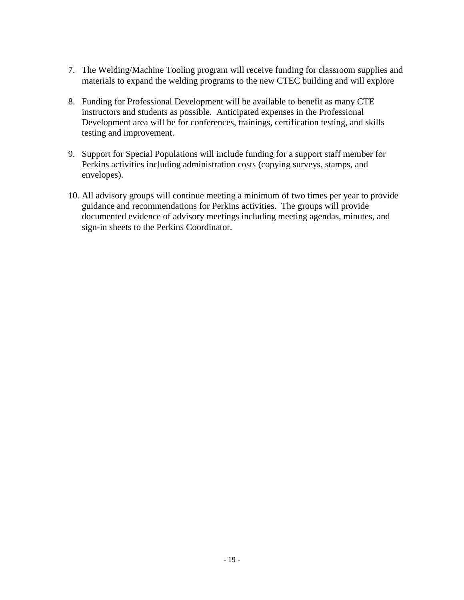- 7. The Welding/Machine Tooling program will receive funding for classroom supplies and materials to expand the welding programs to the new CTEC building and will explore
- 8. Funding for Professional Development will be available to benefit as many CTE instructors and students as possible. Anticipated expenses in the Professional Development area will be for conferences, trainings, certification testing, and skills testing and improvement.
- 9. Support for Special Populations will include funding for a support staff member for Perkins activities including administration costs (copying surveys, stamps, and envelopes).
- 10. All advisory groups will continue meeting a minimum of two times per year to provide guidance and recommendations for Perkins activities. The groups will provide documented evidence of advisory meetings including meeting agendas, minutes, and sign-in sheets to the Perkins Coordinator.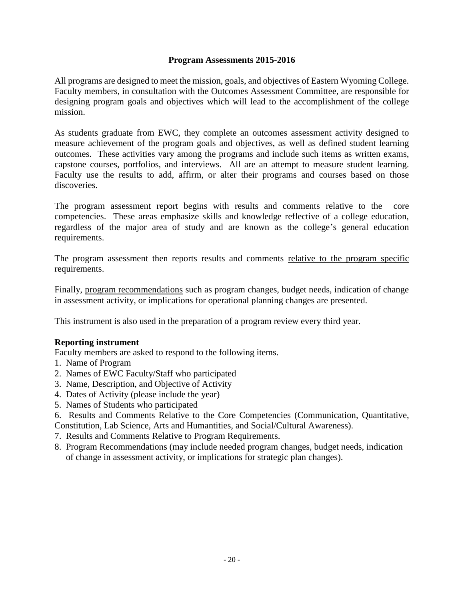#### **Program Assessments 2015-2016**

All programs are designed to meet the mission, goals, and objectives of Eastern Wyoming College. Faculty members, in consultation with the Outcomes Assessment Committee, are responsible for designing program goals and objectives which will lead to the accomplishment of the college mission.

As students graduate from EWC, they complete an outcomes assessment activity designed to measure achievement of the program goals and objectives, as well as defined student learning outcomes. These activities vary among the programs and include such items as written exams, capstone courses, portfolios, and interviews. All are an attempt to measure student learning. Faculty use the results to add, affirm, or alter their programs and courses based on those discoveries.

The program assessment report begins with results and comments relative to the core competencies. These areas emphasize skills and knowledge reflective of a college education, regardless of the major area of study and are known as the college's general education requirements.

The program assessment then reports results and comments relative to the program specific requirements.

Finally, program recommendations such as program changes, budget needs, indication of change in assessment activity, or implications for operational planning changes are presented.

This instrument is also used in the preparation of a program review every third year.

#### **Reporting instrument**

Faculty members are asked to respond to the following items.

- 1. Name of Program
- 2. Names of EWC Faculty/Staff who participated
- 3. Name, Description, and Objective of Activity
- 4. Dates of Activity (please include the year)
- 5. Names of Students who participated
- 6. Results and Comments Relative to the Core Competencies (Communication, Quantitative, Constitution, Lab Science, Arts and Humantities, and Social/Cultural Awareness).
- 7. Results and Comments Relative to Program Requirements.
- 8. Program Recommendations (may include needed program changes, budget needs, indication of change in assessment activity, or implications for strategic plan changes).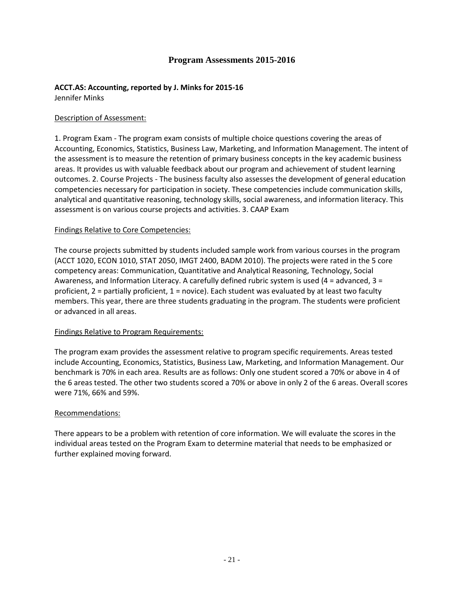#### **Program Assessments 2015-2016**

## **ACCT.AS: Accounting, reported by J. Minks for 2015-16**

Jennifer Minks

#### Description of Assessment:

1. Program Exam - The program exam consists of multiple choice questions covering the areas of Accounting, Economics, Statistics, Business Law, Marketing, and Information Management. The intent of the assessment is to measure the retention of primary business concepts in the key academic business areas. It provides us with valuable feedback about our program and achievement of student learning outcomes. 2. Course Projects - The business faculty also assesses the development of general education competencies necessary for participation in society. These competencies include communication skills, analytical and quantitative reasoning, technology skills, social awareness, and information literacy. This assessment is on various course projects and activities. 3. CAAP Exam

#### Findings Relative to Core Competencies:

The course projects submitted by students included sample work from various courses in the program (ACCT 1020, ECON 1010, STAT 2050, IMGT 2400, BADM 2010). The projects were rated in the 5 core competency areas: Communication, Quantitative and Analytical Reasoning, Technology, Social Awareness, and Information Literacy. A carefully defined rubric system is used (4 = advanced, 3 = proficient, 2 = partially proficient, 1 = novice). Each student was evaluated by at least two faculty members. This year, there are three students graduating in the program. The students were proficient or advanced in all areas.

#### Findings Relative to Program Requirements:

The program exam provides the assessment relative to program specific requirements. Areas tested include Accounting, Economics, Statistics, Business Law, Marketing, and Information Management. Our benchmark is 70% in each area. Results are as follows: Only one student scored a 70% or above in 4 of the 6 areas tested. The other two students scored a 70% or above in only 2 of the 6 areas. Overall scores were 71%, 66% and 59%.

#### Recommendations:

There appears to be a problem with retention of core information. We will evaluate the scores in the individual areas tested on the Program Exam to determine material that needs to be emphasized or further explained moving forward.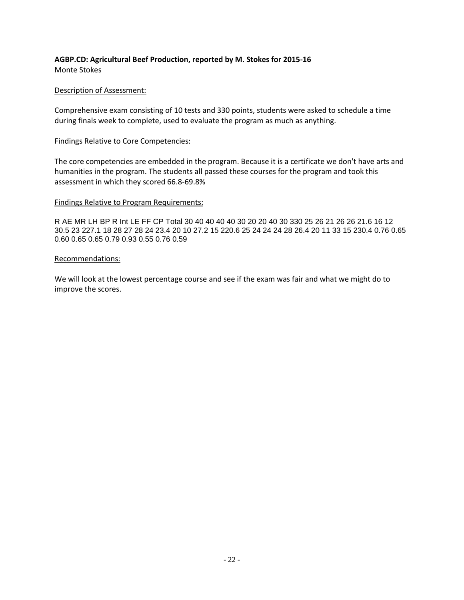## **AGBP.CD: Agricultural Beef Production, reported by M. Stokes for 2015-16**

Monte Stokes

#### Description of Assessment:

Comprehensive exam consisting of 10 tests and 330 points, students were asked to schedule a time during finals week to complete, used to evaluate the program as much as anything.

#### Findings Relative to Core Competencies:

The core competencies are embedded in the program. Because it is a certificate we don't have arts and humanities in the program. The students all passed these courses for the program and took this assessment in which they scored 66.8-69.8%

#### Findings Relative to Program Requirements:

R AE MR LH BP R Int LE FF CP Total 30 40 40 40 40 30 20 20 40 30 330 25 26 21 26 26 21.6 16 12 30.5 23 227.1 18 28 27 28 24 23.4 20 10 27.2 15 220.6 25 24 24 24 28 26.4 20 11 33 15 230.4 0.76 0.65 0.60 0.65 0.65 0.79 0.93 0.55 0.76 0.59

#### Recommendations:

We will look at the lowest percentage course and see if the exam was fair and what we might do to improve the scores.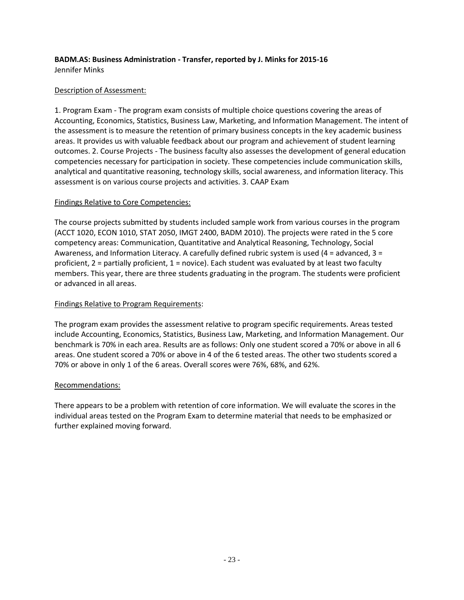#### **BADM.AS: Business Administration - Transfer, reported by J. Minks for 2015-16** Jennifer Minks

#### Description of Assessment:

1. Program Exam - The program exam consists of multiple choice questions covering the areas of Accounting, Economics, Statistics, Business Law, Marketing, and Information Management. The intent of the assessment is to measure the retention of primary business concepts in the key academic business areas. It provides us with valuable feedback about our program and achievement of student learning outcomes. 2. Course Projects - The business faculty also assesses the development of general education competencies necessary for participation in society. These competencies include communication skills, analytical and quantitative reasoning, technology skills, social awareness, and information literacy. This assessment is on various course projects and activities. 3. CAAP Exam

#### Findings Relative to Core Competencies:

The course projects submitted by students included sample work from various courses in the program (ACCT 1020, ECON 1010, STAT 2050, IMGT 2400, BADM 2010). The projects were rated in the 5 core competency areas: Communication, Quantitative and Analytical Reasoning, Technology, Social Awareness, and Information Literacy. A carefully defined rubric system is used (4 = advanced, 3 = proficient,  $2$  = partially proficient,  $1$  = novice). Each student was evaluated by at least two faculty members. This year, there are three students graduating in the program. The students were proficient or advanced in all areas.

#### Findings Relative to Program Requirements:

The program exam provides the assessment relative to program specific requirements. Areas tested include Accounting, Economics, Statistics, Business Law, Marketing, and Information Management. Our benchmark is 70% in each area. Results are as follows: Only one student scored a 70% or above in all 6 areas. One student scored a 70% or above in 4 of the 6 tested areas. The other two students scored a 70% or above in only 1 of the 6 areas. Overall scores were 76%, 68%, and 62%.

#### Recommendations:

There appears to be a problem with retention of core information. We will evaluate the scores in the individual areas tested on the Program Exam to determine material that needs to be emphasized or further explained moving forward.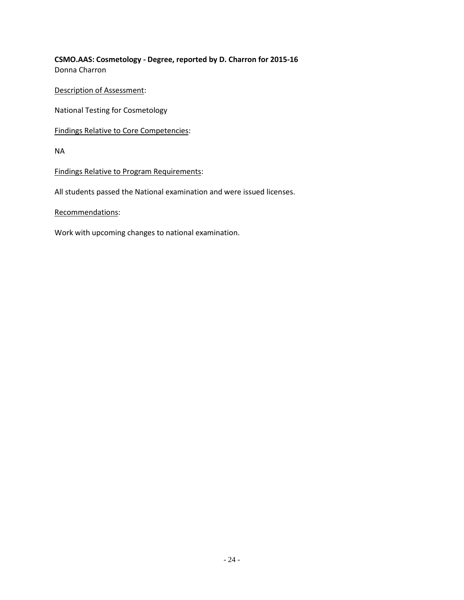**CSMO.AAS: Cosmetology - Degree, reported by D. Charron for 2015-16** Donna Charron

Description of Assessment:

National Testing for Cosmetology

Findings Relative to Core Competencies:

NA

Findings Relative to Program Requirements:

All students passed the National examination and were issued licenses.

Recommendations:

Work with upcoming changes to national examination.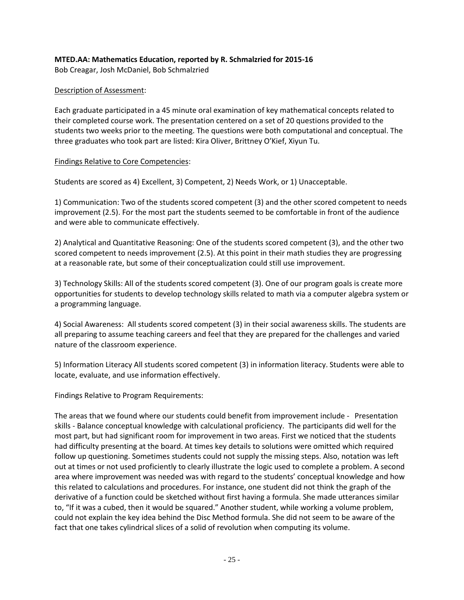#### **MTED.AA: Mathematics Education, reported by R. Schmalzried for 2015-16**

Bob Creagar, Josh McDaniel, Bob Schmalzried

#### Description of Assessment:

Each graduate participated in a 45 minute oral examination of key mathematical concepts related to their completed course work. The presentation centered on a set of 20 questions provided to the students two weeks prior to the meeting. The questions were both computational and conceptual. The three graduates who took part are listed: Kira Oliver, Brittney O'Kief, Xiyun Tu.

#### Findings Relative to Core Competencies:

Students are scored as 4) Excellent, 3) Competent, 2) Needs Work, or 1) Unacceptable.

1) Communication: Two of the students scored competent (3) and the other scored competent to needs improvement (2.5). For the most part the students seemed to be comfortable in front of the audience and were able to communicate effectively.

2) Analytical and Quantitative Reasoning: One of the students scored competent (3), and the other two scored competent to needs improvement (2.5). At this point in their math studies they are progressing at a reasonable rate, but some of their conceptualization could still use improvement.

3) Technology Skills: All of the students scored competent (3). One of our program goals is create more opportunities for students to develop technology skills related to math via a computer algebra system or a programming language.

4) Social Awareness: All students scored competent (3) in their social awareness skills. The students are all preparing to assume teaching careers and feel that they are prepared for the challenges and varied nature of the classroom experience.

5) Information Literacy All students scored competent (3) in information literacy. Students were able to locate, evaluate, and use information effectively.

Findings Relative to Program Requirements:

The areas that we found where our students could benefit from improvement include - Presentation skills - Balance conceptual knowledge with calculational proficiency. The participants did well for the most part, but had significant room for improvement in two areas. First we noticed that the students had difficulty presenting at the board. At times key details to solutions were omitted which required follow up questioning. Sometimes students could not supply the missing steps. Also, notation was left out at times or not used proficiently to clearly illustrate the logic used to complete a problem. A second area where improvement was needed was with regard to the students' conceptual knowledge and how this related to calculations and procedures. For instance, one student did not think the graph of the derivative of a function could be sketched without first having a formula. She made utterances similar to, "If it was a cubed, then it would be squared." Another student, while working a volume problem, could not explain the key idea behind the Disc Method formula. She did not seem to be aware of the fact that one takes cylindrical slices of a solid of revolution when computing its volume.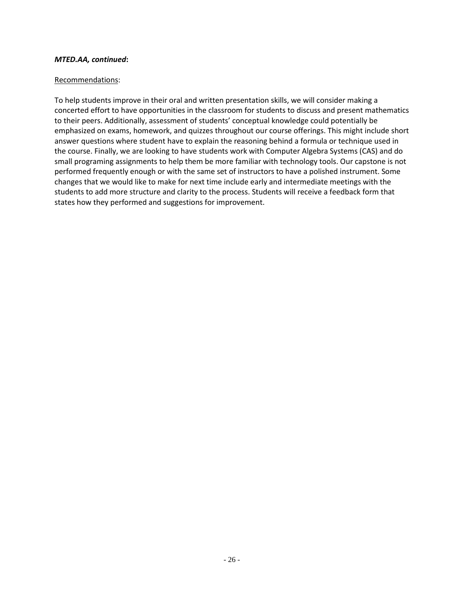#### *MTED.AA, continued***:**

#### Recommendations:

To help students improve in their oral and written presentation skills, we will consider making a concerted effort to have opportunities in the classroom for students to discuss and present mathematics to their peers. Additionally, assessment of students' conceptual knowledge could potentially be emphasized on exams, homework, and quizzes throughout our course offerings. This might include short answer questions where student have to explain the reasoning behind a formula or technique used in the course. Finally, we are looking to have students work with Computer Algebra Systems (CAS) and do small programing assignments to help them be more familiar with technology tools. Our capstone is not performed frequently enough or with the same set of instructors to have a polished instrument. Some changes that we would like to make for next time include early and intermediate meetings with the students to add more structure and clarity to the process. Students will receive a feedback form that states how they performed and suggestions for improvement.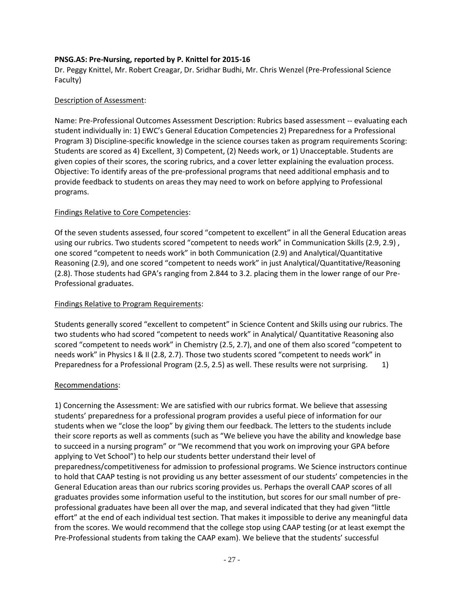#### **PNSG.AS: Pre-Nursing, reported by P. Knittel for 2015-16**

Dr. Peggy Knittel, Mr. Robert Creagar, Dr. Sridhar Budhi, Mr. Chris Wenzel (Pre-Professional Science Faculty)

#### Description of Assessment:

Name: Pre-Professional Outcomes Assessment Description: Rubrics based assessment -- evaluating each student individually in: 1) EWC's General Education Competencies 2) Preparedness for a Professional Program 3) Discipline-specific knowledge in the science courses taken as program requirements Scoring: Students are scored as 4) Excellent, 3) Competent, (2) Needs work, or 1) Unacceptable. Students are given copies of their scores, the scoring rubrics, and a cover letter explaining the evaluation process. Objective: To identify areas of the pre-professional programs that need additional emphasis and to provide feedback to students on areas they may need to work on before applying to Professional programs.

#### Findings Relative to Core Competencies:

Of the seven students assessed, four scored "competent to excellent" in all the General Education areas using our rubrics. Two students scored "competent to needs work" in Communication Skills (2.9, 2.9) , one scored "competent to needs work" in both Communication (2.9) and Analytical/Quantitative Reasoning (2.9), and one scored "competent to needs work" in just Analytical/Quantitative/Reasoning (2.8). Those students had GPA's ranging from 2.844 to 3.2. placing them in the lower range of our Pre-Professional graduates.

#### Findings Relative to Program Requirements:

Students generally scored "excellent to competent" in Science Content and Skills using our rubrics. The two students who had scored "competent to needs work" in Analytical/ Quantitative Reasoning also scored "competent to needs work" in Chemistry (2.5, 2.7), and one of them also scored "competent to needs work" in Physics I & II (2.8, 2.7). Those two students scored "competent to needs work" in Preparedness for a Professional Program (2.5, 2.5) as well. These results were not surprising. 1)

#### Recommendations:

1) Concerning the Assessment: We are satisfied with our rubrics format. We believe that assessing students' preparedness for a professional program provides a useful piece of information for our students when we "close the loop" by giving them our feedback. The letters to the students include their score reports as well as comments (such as "We believe you have the ability and knowledge base to succeed in a nursing program" or "We recommend that you work on improving your GPA before applying to Vet School") to help our students better understand their level of preparedness/competitiveness for admission to professional programs. We Science instructors continue to hold that CAAP testing is not providing us any better assessment of our students' competencies in the General Education areas than our rubrics scoring provides us. Perhaps the overall CAAP scores of all graduates provides some information useful to the institution, but scores for our small number of preprofessional graduates have been all over the map, and several indicated that they had given "little effort" at the end of each individual test section. That makes it impossible to derive any meaningful data from the scores. We would recommend that the college stop using CAAP testing (or at least exempt the Pre-Professional students from taking the CAAP exam). We believe that the students' successful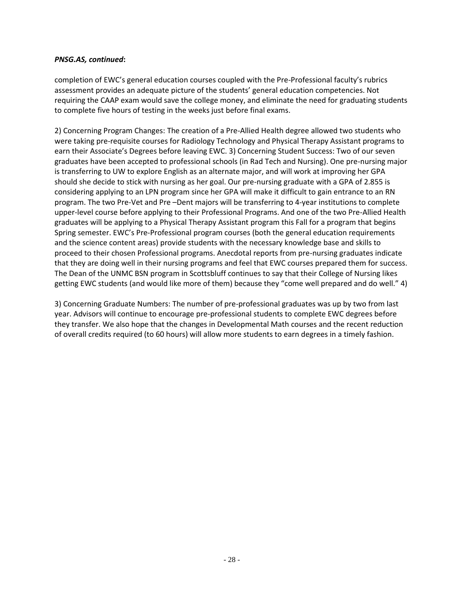#### *PNSG.AS, continued***:**

completion of EWC's general education courses coupled with the Pre-Professional faculty's rubrics assessment provides an adequate picture of the students' general education competencies. Not requiring the CAAP exam would save the college money, and eliminate the need for graduating students to complete five hours of testing in the weeks just before final exams.

2) Concerning Program Changes: The creation of a Pre-Allied Health degree allowed two students who were taking pre-requisite courses for Radiology Technology and Physical Therapy Assistant programs to earn their Associate's Degrees before leaving EWC. 3) Concerning Student Success: Two of our seven graduates have been accepted to professional schools (in Rad Tech and Nursing). One pre-nursing major is transferring to UW to explore English as an alternate major, and will work at improving her GPA should she decide to stick with nursing as her goal. Our pre-nursing graduate with a GPA of 2.855 is considering applying to an LPN program since her GPA will make it difficult to gain entrance to an RN program. The two Pre-Vet and Pre –Dent majors will be transferring to 4-year institutions to complete upper-level course before applying to their Professional Programs. And one of the two Pre-Allied Health graduates will be applying to a Physical Therapy Assistant program this Fall for a program that begins Spring semester. EWC's Pre-Professional program courses (both the general education requirements and the science content areas) provide students with the necessary knowledge base and skills to proceed to their chosen Professional programs. Anecdotal reports from pre-nursing graduates indicate that they are doing well in their nursing programs and feel that EWC courses prepared them for success. The Dean of the UNMC BSN program in Scottsbluff continues to say that their College of Nursing likes getting EWC students (and would like more of them) because they "come well prepared and do well." 4)

3) Concerning Graduate Numbers: The number of pre-professional graduates was up by two from last year. Advisors will continue to encourage pre-professional students to complete EWC degrees before they transfer. We also hope that the changes in Developmental Math courses and the recent reduction of overall credits required (to 60 hours) will allow more students to earn degrees in a timely fashion.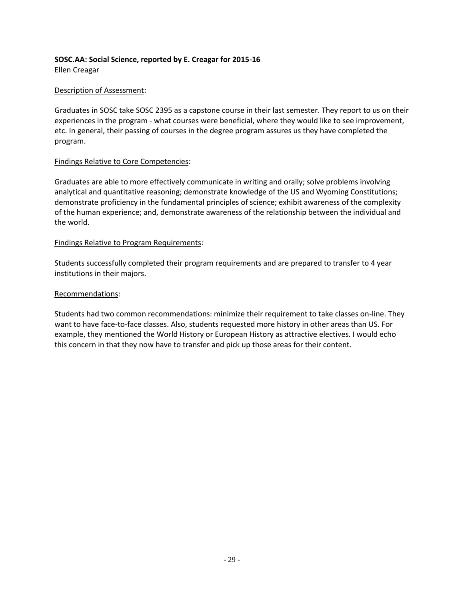#### **SOSC.AA: Social Science, reported by E. Creagar for 2015-16** Ellen Creagar

#### Description of Assessment:

Graduates in SOSC take SOSC 2395 as a capstone course in their last semester. They report to us on their experiences in the program - what courses were beneficial, where they would like to see improvement, etc. In general, their passing of courses in the degree program assures us they have completed the program.

#### Findings Relative to Core Competencies:

Graduates are able to more effectively communicate in writing and orally; solve problems involving analytical and quantitative reasoning; demonstrate knowledge of the US and Wyoming Constitutions; demonstrate proficiency in the fundamental principles of science; exhibit awareness of the complexity of the human experience; and, demonstrate awareness of the relationship between the individual and the world.

#### Findings Relative to Program Requirements:

Students successfully completed their program requirements and are prepared to transfer to 4 year institutions in their majors.

#### Recommendations:

Students had two common recommendations: minimize their requirement to take classes on-line. They want to have face-to-face classes. Also, students requested more history in other areas than US. For example, they mentioned the World History or European History as attractive electives. I would echo this concern in that they now have to transfer and pick up those areas for their content.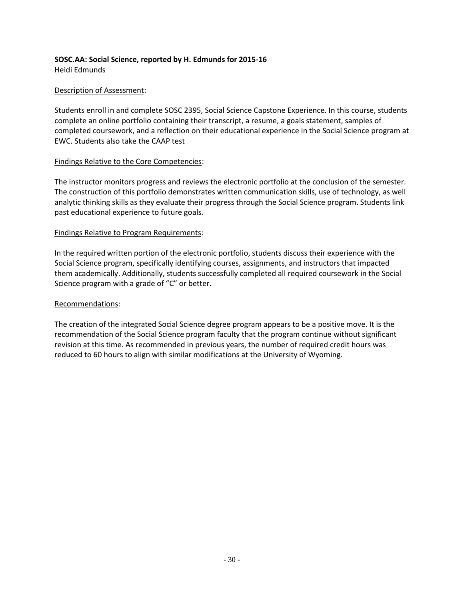#### **SOSC.AA: Social Science, reported by H. Edmunds for 2015-16** Heidi Edmunds

#### Description of Assessment:

Students enroll in and complete SOSC 2395, Social Science Capstone Experience. In this course, students complete an online portfolio containing their transcript, a resume, a goals statement, samples of completed coursework, and a reflection on their educational experience in the Social Science program at EWC. Students also take the CAAP test

#### Findings Relative to the Core Competencies:

The instructor monitors progress and reviews the electronic portfolio at the conclusion of the semester. The construction of this portfolio demonstrates written communication skills, use of technology, as well analytic thinking skills as they evaluate their progress through the Social Science program. Students link past educational experience to future goals.

#### Findings Relative to Program Requirements:

In the required written portion of the electronic portfolio, students discuss their experience with the Social Science program, specifically identifying courses, assignments, and instructors that impacted them academically. Additionally, students successfully completed all required coursework in the Social Science program with a grade of "C" or better.

#### Recommendations:

The creation of the integrated Social Science degree program appears to be a positive move. It is the recommendation of the Social Science program faculty that the program continue without significant revision at this time. As recommended in previous years, the number of required credit hours was reduced to 60 hours to align with similar modifications at the University of Wyoming.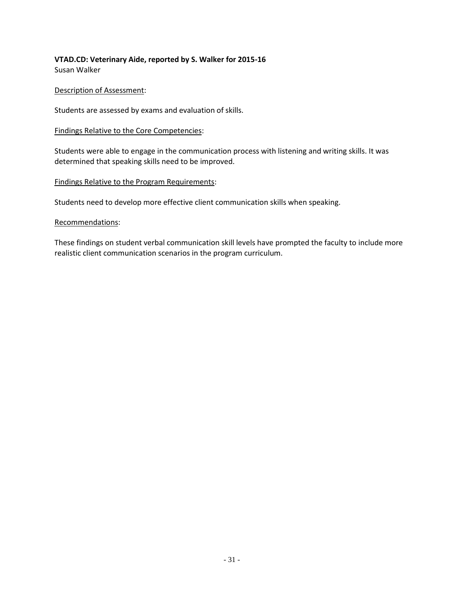#### **VTAD.CD: Veterinary Aide, reported by S. Walker for 2015-16** Susan Walker

#### Description of Assessment:

Students are assessed by exams and evaluation of skills.

#### Findings Relative to the Core Competencies:

Students were able to engage in the communication process with listening and writing skills. It was determined that speaking skills need to be improved.

#### Findings Relative to the Program Requirements:

Students need to develop more effective client communication skills when speaking.

#### Recommendations:

These findings on student verbal communication skill levels have prompted the faculty to include more realistic client communication scenarios in the program curriculum.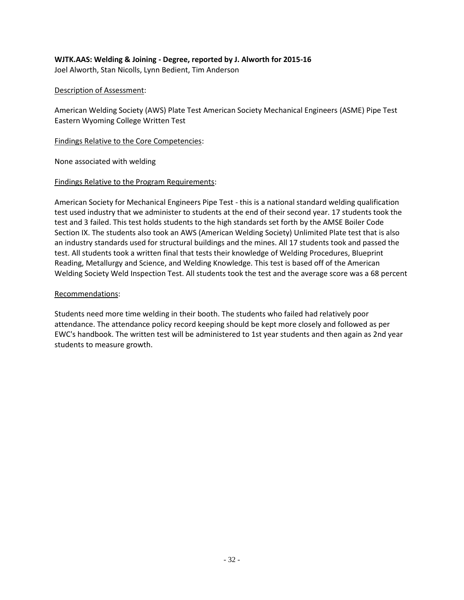## **WJTK.AAS: Welding & Joining - Degree, reported by J. Alworth for 2015-16**

Joel Alworth, Stan Nicolls, Lynn Bedient, Tim Anderson

#### Description of Assessment:

American Welding Society (AWS) Plate Test American Society Mechanical Engineers (ASME) Pipe Test Eastern Wyoming College Written Test

#### Findings Relative to the Core Competencies:

None associated with welding

#### Findings Relative to the Program Requirements:

American Society for Mechanical Engineers Pipe Test - this is a national standard welding qualification test used industry that we administer to students at the end of their second year. 17 students took the test and 3 failed. This test holds students to the high standards set forth by the AMSE Boiler Code Section IX. The students also took an AWS (American Welding Society) Unlimited Plate test that is also an industry standards used for structural buildings and the mines. All 17 students took and passed the test. All students took a written final that tests their knowledge of Welding Procedures, Blueprint Reading, Metallurgy and Science, and Welding Knowledge. This test is based off of the American Welding Society Weld Inspection Test. All students took the test and the average score was a 68 percent

#### Recommendations:

Students need more time welding in their booth. The students who failed had relatively poor attendance. The attendance policy record keeping should be kept more closely and followed as per EWC's handbook. The written test will be administered to 1st year students and then again as 2nd year students to measure growth.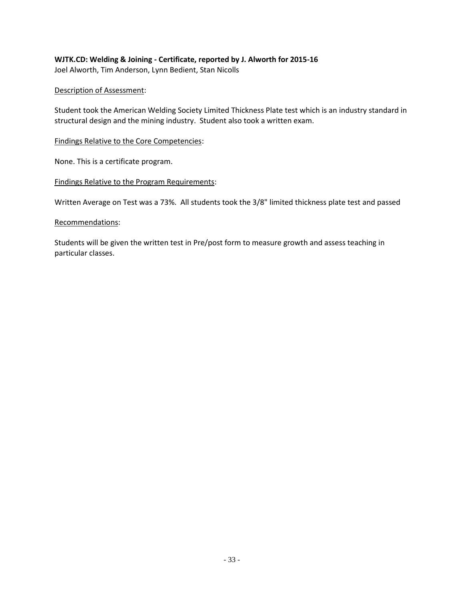## **WJTK.CD: Welding & Joining - Certificate, reported by J. Alworth for 2015-16**

Joel Alworth, Tim Anderson, Lynn Bedient, Stan Nicolls

#### Description of Assessment:

Student took the American Welding Society Limited Thickness Plate test which is an industry standard in structural design and the mining industry. Student also took a written exam.

#### Findings Relative to the Core Competencies:

None. This is a certificate program.

#### Findings Relative to the Program Requirements:

Written Average on Test was a 73%. All students took the 3/8" limited thickness plate test and passed

#### Recommendations:

Students will be given the written test in Pre/post form to measure growth and assess teaching in particular classes.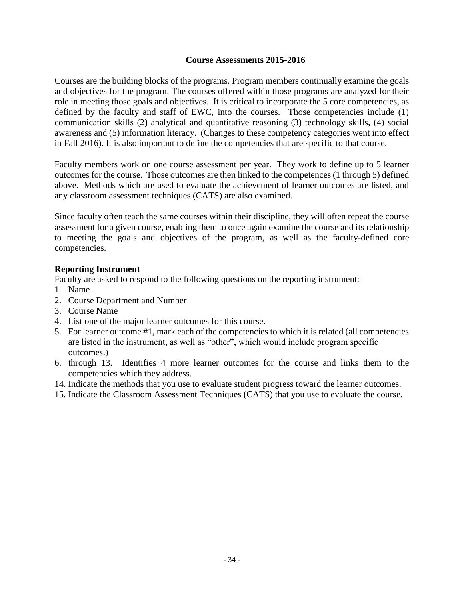#### **Course Assessments 2015-2016**

Courses are the building blocks of the programs. Program members continually examine the goals and objectives for the program. The courses offered within those programs are analyzed for their role in meeting those goals and objectives. It is critical to incorporate the 5 core competencies, as defined by the faculty and staff of EWC, into the courses. Those competencies include (1) communication skills (2) analytical and quantitative reasoning (3) technology skills, (4) social awareness and (5) information literacy. (Changes to these competency categories went into effect in Fall 2016). It is also important to define the competencies that are specific to that course.

Faculty members work on one course assessment per year. They work to define up to 5 learner outcomes for the course. Those outcomes are then linked to the competences (1 through 5) defined above. Methods which are used to evaluate the achievement of learner outcomes are listed, and any classroom assessment techniques (CATS) are also examined.

Since faculty often teach the same courses within their discipline, they will often repeat the course assessment for a given course, enabling them to once again examine the course and its relationship to meeting the goals and objectives of the program, as well as the faculty-defined core competencies.

#### **Reporting Instrument**

Faculty are asked to respond to the following questions on the reporting instrument:

- 1. Name
- 2. Course Department and Number
- 3. Course Name
- 4. List one of the major learner outcomes for this course.
- 5. For learner outcome #1, mark each of the competencies to which it is related (all competencies are listed in the instrument, as well as "other", which would include program specific outcomes.)
- 6. through 13. Identifies 4 more learner outcomes for the course and links them to the competencies which they address.
- 14. Indicate the methods that you use to evaluate student progress toward the learner outcomes.
- 15. Indicate the Classroom Assessment Techniques (CATS) that you use to evaluate the course.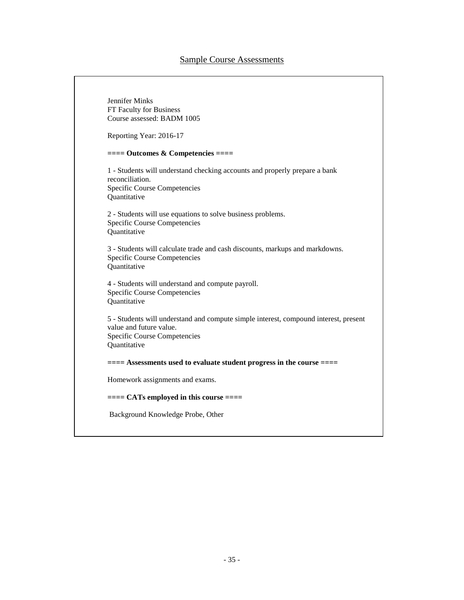Jennifer Minks FT Faculty for Business Course assessed: BADM 1005 Reporting Year: 2016-17 **==== Outcomes & Competencies ====** 1 - Students will understand checking accounts and properly prepare a bank reconciliation. Specific Course Competencies Quantitative 2 - Students will use equations to solve business problems. Specific Course Competencies Quantitative 3 - Students will calculate trade and cash discounts, markups and markdowns. Specific Course Competencies **Ouantitative** 4 - Students will understand and compute payroll. Specific Course Competencies Quantitative 5 - Students will understand and compute simple interest, compound interest, present value and future value. Specific Course Competencies **Ouantitative ==== Assessments used to evaluate student progress in the course ====** Homework assignments and exams. **==== CATs employed in this course ====** Background Knowledge Probe, Other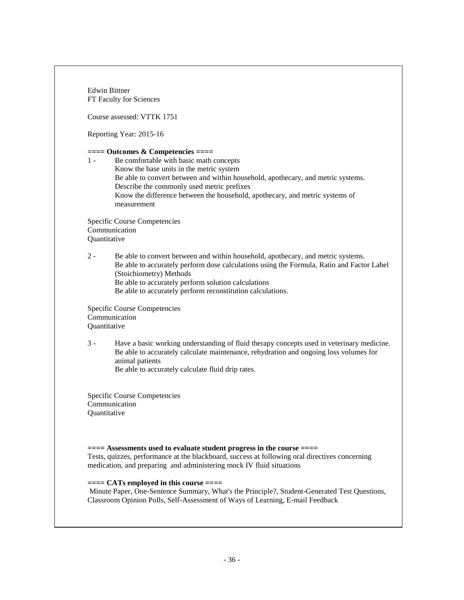Edwin Bittner FT Faculty for Sciences Course assessed: VTTK 1751 Reporting Year: 2015-16 **==== Outcomes & Competencies ====** 1 - Be comfortable with basic math concepts Know the base units in the metric system Be able to convert between and within household, apothecary, and metric systems. Describe the commonly used metric prefixes Know the difference between the household, apothecary, and metric systems of measurement Specific Course Competencies Communication Quantitative 2 - Be able to convert between and within household, apothecary, and metric systems. Be able to accurately perform dose calculations using the Formula, Ratio and Factor Label (Stoichiometry) Methods Be able to accurately perform solution calculations Be able to accurately perform reconstitution calculations. Specific Course Competencies Communication **Ouantitative** 3 - Have a basic working understanding of fluid therapy concepts used in veterinary medicine. Be able to accurately calculate maintenance, rehydration and ongoing loss volumes for animal patients Be able to accurately calculate fluid drip rates. Specific Course Competencies Communication **Ouantitative ==== Assessments used to evaluate student progress in the course ====** Tests, quizzes, performance at the blackboard, success at following oral directives concerning medication, and preparing and administering mock IV fluid situations **==== CATs employed in this course ====** Minute Paper, One-Sentence Summary, What's the Principle?, Student-Generated Test Questions, Classroom Opinion Polls, Self-Assessment of Ways of Learning, E-mail Feedback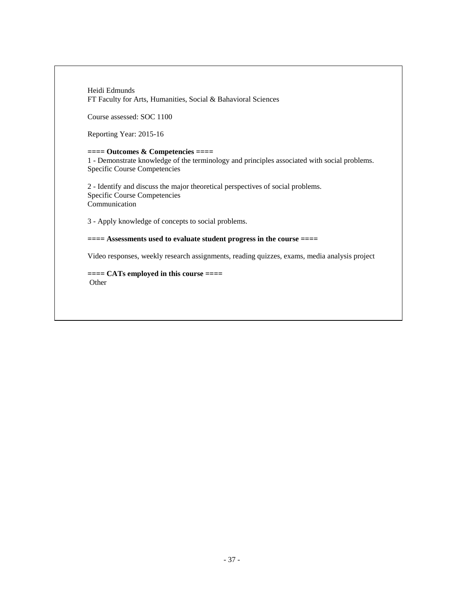Heidi Edmunds FT Faculty for Arts, Humanities, Social & Bahavioral Sciences

Course assessed: SOC 1100

Reporting Year: 2015-16

**==== Outcomes & Competencies ====** 1 - Demonstrate knowledge of the terminology and principles associated with social problems. Specific Course Competencies

2 - Identify and discuss the major theoretical perspectives of social problems. Specific Course Competencies Communication

3 - Apply knowledge of concepts to social problems.

**==== Assessments used to evaluate student progress in the course ====**

Video responses, weekly research assignments, reading quizzes, exams, media analysis project

**==== CATs employed in this course ====** Other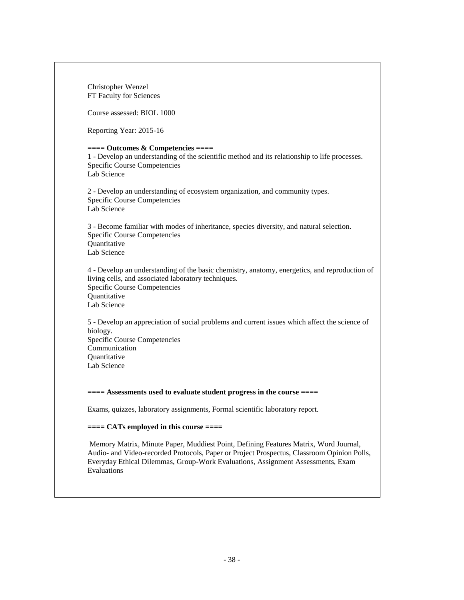Christopher Wenzel FT Faculty for Sciences Course assessed: BIOL 1000 Reporting Year: 2015-16 **==== Outcomes & Competencies ====** 1 - Develop an understanding of the scientific method and its relationship to life processes. Specific Course Competencies Lab Science 2 - Develop an understanding of ecosystem organization, and community types. Specific Course Competencies Lab Science 3 - Become familiar with modes of inheritance, species diversity, and natural selection. Specific Course Competencies **Ouantitative** Lab Science 4 - Develop an understanding of the basic chemistry, anatomy, energetics, and reproduction of living cells, and associated laboratory techniques. Specific Course Competencies **Ouantitative** Lab Science 5 - Develop an appreciation of social problems and current issues which affect the science of biology. Specific Course Competencies Communication **Ouantitative** Lab Science **==== Assessments used to evaluate student progress in the course ====** Exams, quizzes, laboratory assignments, Formal scientific laboratory report. **==== CATs employed in this course ====** Memory Matrix, Minute Paper, Muddiest Point, Defining Features Matrix, Word Journal, Audio- and Video-recorded Protocols, Paper or Project Prospectus, Classroom Opinion Polls, Everyday Ethical Dilemmas, Group-Work Evaluations, Assignment Assessments, Exam Evaluations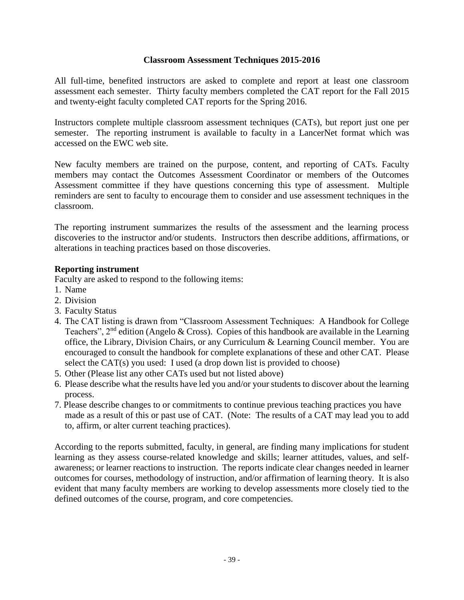#### **Classroom Assessment Techniques 2015-2016**

All full-time, benefited instructors are asked to complete and report at least one classroom assessment each semester. Thirty faculty members completed the CAT report for the Fall 2015 and twenty-eight faculty completed CAT reports for the Spring 2016.

Instructors complete multiple classroom assessment techniques (CATs), but report just one per semester. The reporting instrument is available to faculty in a LancerNet format which was accessed on the EWC web site.

New faculty members are trained on the purpose, content, and reporting of CATs. Faculty members may contact the Outcomes Assessment Coordinator or members of the Outcomes Assessment committee if they have questions concerning this type of assessment. Multiple reminders are sent to faculty to encourage them to consider and use assessment techniques in the classroom.

The reporting instrument summarizes the results of the assessment and the learning process discoveries to the instructor and/or students. Instructors then describe additions, affirmations, or alterations in teaching practices based on those discoveries.

#### **Reporting instrument**

Faculty are asked to respond to the following items:

- 1. Name
- 2. Division
- 3. Faculty Status
- 4. The CAT listing is drawn from "Classroom Assessment Techniques: A Handbook for College Teachers",  $2<sup>nd</sup>$  edition (Angelo & Cross). Copies of this handbook are available in the Learning office, the Library, Division Chairs, or any Curriculum & Learning Council member. You are encouraged to consult the handbook for complete explanations of these and other CAT. Please select the CAT(s) you used: I used (a drop down list is provided to choose)
- 5. Other (Please list any other CATs used but not listed above)
- 6. Please describe what the results have led you and/or your students to discover about the learning process.
- 7. Please describe changes to or commitments to continue previous teaching practices you have made as a result of this or past use of CAT. (Note: The results of a CAT may lead you to add to, affirm, or alter current teaching practices).

According to the reports submitted, faculty, in general, are finding many implications for student learning as they assess course-related knowledge and skills; learner attitudes, values, and selfawareness; or learner reactions to instruction. The reports indicate clear changes needed in learner outcomes for courses, methodology of instruction, and/or affirmation of learning theory. It is also evident that many faculty members are working to develop assessments more closely tied to the defined outcomes of the course, program, and core competencies.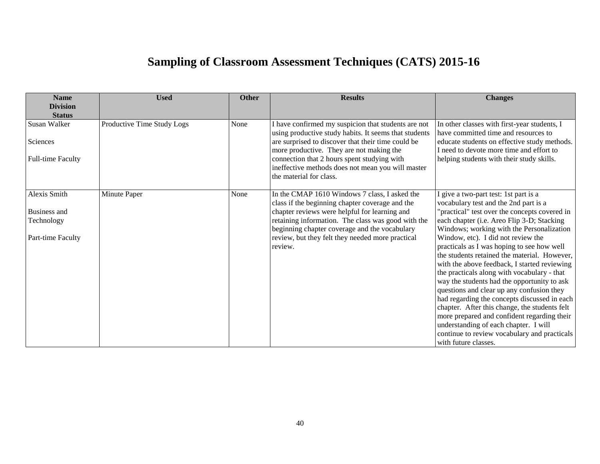## **Sampling of Classroom Assessment Techniques (CATS) 2015-16**

| <b>Name</b><br><b>Division</b> | <b>Used</b>                | Other | <b>Results</b>                                                                                               | <b>Changes</b>                                                                       |
|--------------------------------|----------------------------|-------|--------------------------------------------------------------------------------------------------------------|--------------------------------------------------------------------------------------|
| <b>Status</b>                  |                            |       |                                                                                                              |                                                                                      |
| Susan Walker                   | Productive Time Study Logs | None  | I have confirmed my suspicion that students are not<br>using productive study habits. It seems that students | In other classes with first-year students, I<br>have committed time and resources to |
| Sciences                       |                            |       | are surprised to discover that their time could be                                                           | educate students on effective study methods.                                         |
|                                |                            |       | more productive. They are not making the                                                                     | I need to devote more time and effort to                                             |
| <b>Full-time Faculty</b>       |                            |       | connection that 2 hours spent studying with                                                                  | helping students with their study skills.                                            |
|                                |                            |       | ineffective methods does not mean you will master                                                            |                                                                                      |
|                                |                            |       | the material for class.                                                                                      |                                                                                      |
| Alexis Smith                   | Minute Paper               | None  | In the CMAP 1610 Windows 7 class, I asked the                                                                | I give a two-part test: 1st part is a                                                |
|                                |                            |       | class if the beginning chapter coverage and the                                                              | vocabulary test and the 2nd part is a                                                |
| Business and                   |                            |       | chapter reviews were helpful for learning and                                                                | 'practical" test over the concepts covered in                                        |
| Technology                     |                            |       | retaining information. The class was good with the                                                           | each chapter (i.e. Areo Flip 3-D; Stacking                                           |
|                                |                            |       | beginning chapter coverage and the vocabulary                                                                | Windows; working with the Personalization                                            |
| Part-time Faculty              |                            |       | review, but they felt they needed more practical                                                             | Window, etc). I did not review the                                                   |
|                                |                            |       | review.                                                                                                      | practicals as I was hoping to see how well                                           |
|                                |                            |       |                                                                                                              | the students retained the material. However,                                         |
|                                |                            |       |                                                                                                              | with the above feedback, I started reviewing                                         |
|                                |                            |       |                                                                                                              | the practicals along with vocabulary - that                                          |
|                                |                            |       |                                                                                                              | way the students had the opportunity to ask                                          |
|                                |                            |       |                                                                                                              | questions and clear up any confusion they                                            |
|                                |                            |       |                                                                                                              | had regarding the concepts discussed in each                                         |
|                                |                            |       |                                                                                                              | chapter. After this change, the students felt                                        |
|                                |                            |       |                                                                                                              | more prepared and confident regarding their                                          |
|                                |                            |       |                                                                                                              | understanding of each chapter. I will                                                |
|                                |                            |       |                                                                                                              | continue to review vocabulary and practicals                                         |
|                                |                            |       |                                                                                                              | with future classes.                                                                 |